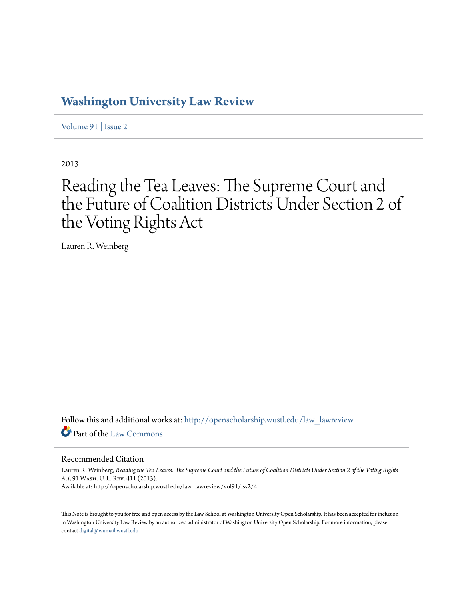# **[Washington University Law Review](http://openscholarship.wustl.edu/law_lawreview?utm_source=openscholarship.wustl.edu%2Flaw_lawreview%2Fvol91%2Fiss2%2F4&utm_medium=PDF&utm_campaign=PDFCoverPages)**

[Volume 91](http://openscholarship.wustl.edu/law_lawreview/vol91?utm_source=openscholarship.wustl.edu%2Flaw_lawreview%2Fvol91%2Fiss2%2F4&utm_medium=PDF&utm_campaign=PDFCoverPages) | [Issue 2](http://openscholarship.wustl.edu/law_lawreview/vol91/iss2?utm_source=openscholarship.wustl.edu%2Flaw_lawreview%2Fvol91%2Fiss2%2F4&utm_medium=PDF&utm_campaign=PDFCoverPages)

2013

# Reading the Tea Leaves: The Supreme Court and the Future of Coalition Districts Under Section 2 of the Voting Rights Act

Lauren R. Weinberg

Follow this and additional works at: [http://openscholarship.wustl.edu/law\\_lawreview](http://openscholarship.wustl.edu/law_lawreview?utm_source=openscholarship.wustl.edu%2Flaw_lawreview%2Fvol91%2Fiss2%2F4&utm_medium=PDF&utm_campaign=PDFCoverPages) Part of the [Law Commons](http://network.bepress.com/hgg/discipline/578?utm_source=openscholarship.wustl.edu%2Flaw_lawreview%2Fvol91%2Fiss2%2F4&utm_medium=PDF&utm_campaign=PDFCoverPages)

# Recommended Citation

Lauren R. Weinberg, *Reading the Tea Leaves: The Supreme Court and the Future of Coalition Districts Under Section 2 of the Voting Rights Act*, 91 Wash. U. L. Rev. 411 (2013). Available at: http://openscholarship.wustl.edu/law\_lawreview/vol91/iss2/4

This Note is brought to you for free and open access by the Law School at Washington University Open Scholarship. It has been accepted for inclusion in Washington University Law Review by an authorized administrator of Washington University Open Scholarship. For more information, please contact [digital@wumail.wustl.edu.](mailto:digital@wumail.wustl.edu)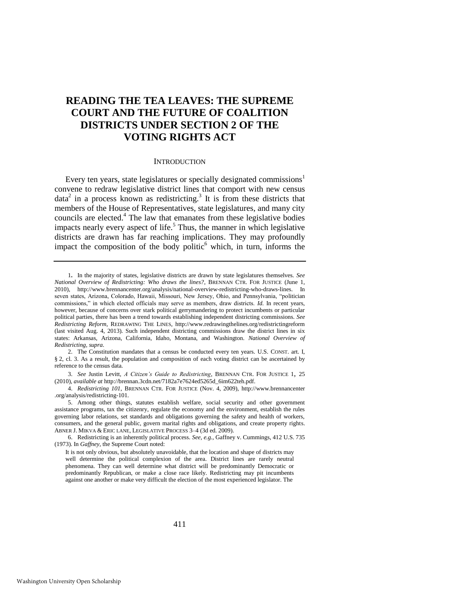# **READING THE TEA LEAVES: THE SUPREME COURT AND THE FUTURE OF COALITION DISTRICTS UNDER SECTION 2 OF THE VOTING RIGHTS ACT**

#### <span id="page-1-1"></span><span id="page-1-0"></span>**INTRODUCTION**

Every ten years, state legislatures or specially designated commissions<sup>1</sup> convene to redraw legislative district lines that comport with new census  $data<sup>2</sup>$  in a process known as redistricting.<sup>3</sup> It is from these districts that members of the House of Representatives, state legislatures, and many city councils are elected.<sup>4</sup> The law that emanates from these legislative bodies impacts nearly every aspect of life.<sup>5</sup> Thus, the manner in which legislative districts are drawn has far reaching implications. They may profoundly impact the composition of the body politic $<sup>6</sup>$  which, in turn, informs the</sup>

2. The Constitution mandates that a census be conducted every ten years. U.S. CONST. art. I, § 2, cl. 3. As a result, the population and composition of each voting district can be ascertained by reference to the census data.

3. *See* Justin Levitt, *A Citizen's Guide to Redistricting*, BRENNAN CTR. FOR JUSTICE 1, 25 (2010), *available at* http://brennan.3cdn.net/7182a7e7624ed5265d\_6im622teh.pdf.

4. *Redistricting 101*, BRENNAN CTR. FOR JUSTICE (Nov. 4, 2009), http://www.brennancenter .org/analysis/redistricting-101.

5. Among other things, statutes establish welfare, social security and other government assistance programs, tax the citizenry, regulate the economy and the environment, establish the rules governing labor relations, set standards and obligations governing the safety and health of workers, consumers, and the general public, govern marital rights and obligations, and create property rights. ABNER J. MIKVA & ERIC LANE, LEGISLATIVE PROCESS 3–4 (3d ed. 2009).

6. Redistricting is an inherently political process. *See, e.g.*, Gaffney v. Cummings, 412 U.S. 735 (1973). In *Gaffney*, the Supreme Court noted:

It is not only obvious, but absolutely unavoidable, that the location and shape of districts may well determine the political complexion of the area. District lines are rarely neutral phenomena. They can well determine what district will be predominantly Democratic or predominantly Republican, or make a close race likely. Redistricting may pit incumbents against one another or make very difficult the election of the most experienced legislator. The

<sup>1</sup>**.** In the majority of states, legislative districts are drawn by state legislatures themselves. *See National Overview of Redistricting: Who draws the lines?*, BRENNAN CTR. FOR JUSTICE (June 1, 2010), [http://www.brennancenter.org/analysis/national-overview-redistricting-who-draws-lines.](http://www.brennancenter.org/analysis/national-overview-redistricting-who-draws-lines) In seven states, Arizona, Colorado, Hawaii, Missouri, New Jersey, Ohio, and Pennsylvania, "politician commissions," in which elected officials may serve as members, draw districts. *Id.* In recent years, however, because of concerns over stark political gerrymandering to protect incumbents or particular political parties, there has been a trend towards establishing independent districting commissions. *See Redistricting Reform*, REDRAWING THE LINES, http://www.redrawingthelines.org/redistrictingreform (last visited Aug. 4, 2013). Such independent districting commissions draw the district lines in six states: Arkansas, Arizona, California, Idaho, Montana, and Washington. *National Overview of Redistricting*, *supra*.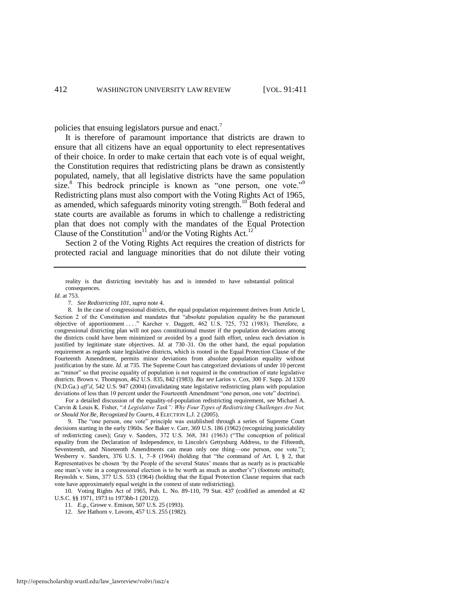policies that ensuing legislators pursue and enact.<sup>7</sup>

It is therefore of paramount importance that districts are drawn to ensure that all citizens have an equal opportunity to elect representatives of their choice. In order to make certain that each vote is of equal weight, the Constitution requires that redistricting plans be drawn as consistently populated, namely, that all legislative districts have the same population size. $8$  This bedrock principle is known as "one person, one vote."<sup>9</sup> Redistricting plans must also comport with the Voting Rights Act of 1965, as amended, which safeguards minority voting strength.<sup>10</sup> Both federal and state courts are available as forums in which to challenge a redistricting plan that does not comply with the mandates of the Equal Protection Clause of the Constitution<sup>11</sup> and/or the Voting Rights Act.<sup>12</sup>

Section 2 of the Voting Rights Act requires the creation of districts for protected racial and language minorities that do not dilute their voting

reality is that districting inevitably has and is intended to have substantial political consequences.

*Id.* at 753.

7. *See Redistricting 101*, *supra* not[e 4.](#page-1-0) 

 For a detailed discussion of the equality-of-population redistricting requirement, see Michael A. Carvin & Louis K. Fisher, "*A Legislative Task": Why Four Types of Redistricting Challenges Are Not, or Should Not Be, Recognized by Courts*, 4 ELECTION L.J. 2 (2005).

9. The "one person, one vote" principle was established through a series of Supreme Court decisions starting in the early 1960s. *See* Baker v. Carr, 369 U.S. 186 (1962) (recognizing justiciability of redistricting cases); Gray v. Sanders*,* 372 U.S. 368, 381 (1963) ("The conception of political equality from the Declaration of Independence, to Lincoln's Gettysburg Address, to the Fifteenth, Seventeenth, and Nineteenth Amendments can mean only one thing—one person, one vote."); Wesberry v. Sanders, 376 U.S. 1, 7–8 (1964) (holding that "the command of Art. I, § 2, that Representatives be chosen 'by the People of the several States' means that as nearly as is practicable one man's vote in a congressional election is to be worth as much as another's") (footnote omitted); Reynolds v. Sims, 377 U.S. 533 (1964) (holding that the Equal Protection Clause requires that each vote have approximately equal weight in the context of state redistricting).

10. Voting Rights Act of 1965, Pub. L. No. 89-110, 79 Stat. 437 (codified as amended at 42 U.S.C. §§ 1971, 1973 to 1973bb-1 (2012)).

11. *E.g.*, Growe v. Emison, 507 U.S. 25 (1993).

12. *See* Hathorn v. Lovorn, 457 U.S. 255 (1982).

<sup>8.</sup> In the case of congressional districts, the equal population requirement derives from Article I, Section 2 of the Constitution and mandates that "absolute population equality be the paramount objective of apportionment . . . ." Karcher v. Daggett, 462 U.S. 725, 732 (1983). Therefore, a congressional districting plan will not pass constitutional muster if the population deviations among the districts could have been minimized or avoided by a good faith effort, unless each deviation is justified by legitimate state objectives. *Id.* at 730–31. On the other hand, the equal population requirement as regards state legislative districts, which is rooted in the Equal Protection Clause of the Fourteenth Amendment, permits minor deviations from absolute population equality without justification by the state. *Id.* at 735. The Supreme Court has categorized deviations of under 10 percent as "minor" so that precise equality of population is not required in the construction of state legislative districts. Brown v. Thompson, 462 U.S. 835, 842 (1983). *But see* Larios v. Cox, 300 F. Supp. 2d 1320 (N.D.Ga.) *aff'd*, 542 U.S. 947 (2004) (invalidating state legislative redistricting plans with population deviations of less than 10 percent under the Fourteenth Amendment "one person, one vote" doctrine).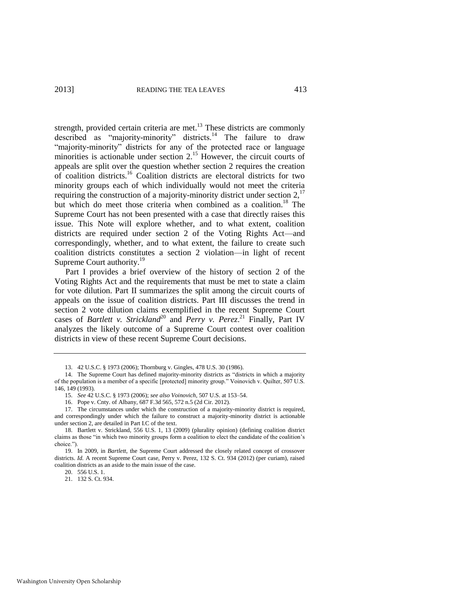<span id="page-3-0"></span>strength, provided certain criteria are met.<sup>13</sup> These districts are commonly described as "majority-minority" districts.<sup>14</sup> The failure to draw "majority-minority" districts for any of the protected race or language minorities is actionable under section  $2^{15}$  However, the circuit courts of appeals are split over the question whether section 2 requires the creation of coalition districts.<sup>16</sup> Coalition districts are electoral districts for two minority groups each of which individually would not meet the criteria requiring the construction of a majority-minority district under section  $2$ ,  $17$ but which do meet those criteria when combined as a coalition.<sup>18</sup> The Supreme Court has not been presented with a case that directly raises this issue. This Note will explore whether, and to what extent, coalition districts are required under section 2 of the Voting Rights Act—and correspondingly, whether, and to what extent, the failure to create such coalition districts constitutes a section 2 violation—in light of recent Supreme Court authority.<sup>19</sup>

Part I provides a brief overview of the history of section 2 of the Voting Rights Act and the requirements that must be met to state a claim for vote dilution. Part II summarizes the split among the circuit courts of appeals on the issue of coalition districts. Part III discusses the trend in section 2 vote dilution claims exemplified in the recent Supreme Court cases of *Bartlett v. Strickland*<sup>20</sup> and *Perry v. Perez.*<sup>21</sup> Finally, Part IV analyzes the likely outcome of a Supreme Court contest over coalition districts in view of these recent Supreme Court decisions.

21. 132 S. Ct. 934.

<sup>13. 42</sup> U.S.C. § 1973 (2006); Thornburg v. Gingles, 478 U.S. 30 (1986).

<sup>14.</sup> The Supreme Court has defined majority-minority districts as "districts in which a majority of the population is a member of a specific [protected] minority group." Voinovich v. Quilter, 507 U.S. 146, 149 (1993).

<sup>15.</sup> *See* 42 U.S.C. § 1973 (2006); *see also Voinovich*, 507 U.S. at 153–54.

<sup>16.</sup> Pope v. Cnty. of Albany, 687 F.3d 565, 572 n.5 (2d Cir. 2012)*.* 

<sup>17.</sup> The circumstances under which the construction of a majority-minority district is required, and correspondingly under which the failure to construct a majority-minority district is actionable under section 2, are detailed in Part I.C of the text.

<sup>18.</sup> Bartlett v. Strickland, 556 U.S. 1, 13 (2009) (plurality opinion) (defining coalition district claims as those "in which two minority groups form a coalition to elect the candidate of the coalition's choice.").

<sup>19.</sup> In 2009, in *Bartlett*, the Supreme Court addressed the closely related concept of crossover districts. *Id.* A recent Supreme Court case, Perry v. Perez, 132 S. Ct. 934 (2012) (per curiam), raised coalition districts as an aside to the main issue of the case.

<sup>20. 556</sup> U.S. 1.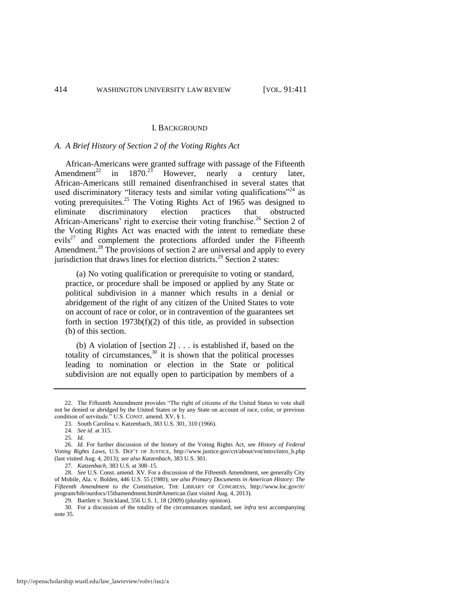#### I. BACKGROUND

## *A. A Brief History of Section 2 of the Voting Rights Act*

African-Americans were granted suffrage with passage of the Fifteenth Amendment<sup>22</sup> in  $1870.^{25}$  However, nearly a century later, African-Americans still remained disenfranchised in several states that used discriminatory "literacy tests and similar voting qualifications"<sup>24</sup> as voting prerequisites.<sup>25</sup> The Voting Rights Act of 1965 was designed to eliminate discriminatory election practices that obstructed African-Americans' right to exercise their voting franchise.<sup>26</sup> Section 2 of the Voting Rights Act was enacted with the intent to remediate these evils<sup>27</sup> and complement the protections afforded under the Fifteenth Amendment.<sup>28</sup> The provisions of section 2 are universal and apply to every jurisdiction that draws lines for election districts.<sup>29</sup> Section 2 states:

 (a) No voting qualification or prerequisite to voting or standard, practice, or procedure shall be imposed or applied by any State or political subdivision in a manner which results in a denial or abridgement of the right of any citizen of the United States to vote on account of race or color, or in contravention of the guarantees set forth in section  $1973b(f)(2)$  of this title, as provided in subsection (b) of this section.

 (b) A violation of [section 2] . . . is established if, based on the totality of circumstances, $30$  it is shown that the political processes leading to nomination or election in the State or political subdivision are not equally open to participation by members of a

<sup>22.</sup> The Fifteenth Amendment provides "The right of citizens of the United States to vote shall not be denied or abridged by the United States or by any State on account of race, color, or previous condition of servitude." U.S. CONST. amend. XV, § 1.

<sup>23.</sup> South Carolina v. Katzenbach, 383 U.S. 301, 310 (1966).

<sup>24.</sup> *See id.* at 315.

<sup>25.</sup> *Id.* 

<sup>26.</sup> *Id.* For further discussion of the history of the Voting Rights Act, see *History of Federal Voting Rights Laws*, U.S. DEP'T OF JUSTICE, http://www.justice.gov/crt/about/vot/intro/intro\_b.php (last visited Aug. 4, 2013); *see also Katzenbach*, 383 U.S. 301.

<sup>27.</sup> *Katzenbach*, 383 U.S. at 308–15.

<sup>28.</sup> *See* U.S. Const. amend. XV. For a discussion of the Fifteenth Amendment, see generally City of Mobile, Ala. v. Bolden, 446 U.S. 55 (1980); *see also Primary Documents in American History: The Fifteenth Amendment to the Constitution*, THE LIBRARY OF CONGRESS, http://www.loc.gov/rr/ program/bib/ourdocs/15thamendment.html#American (last visited Aug. 4, 2013).

<sup>29.</sup> Bartlett v. Strickland, 556 U.S. 1, 18 (2009) (plurality opinion).

<sup>30.</sup> For a discussion of the totality of the circumstances standard, see *infra* text accompanying note [35.](#page-6-0)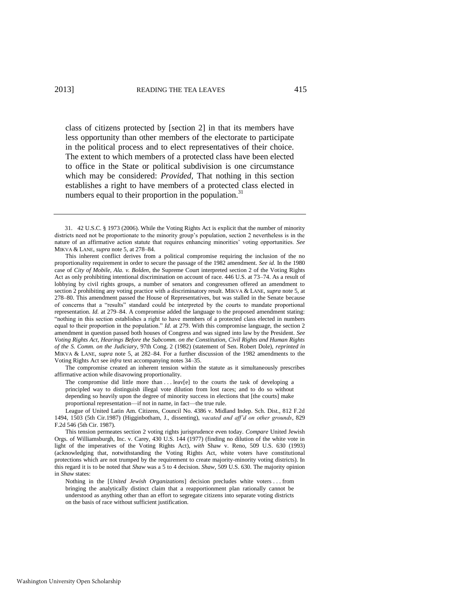class of citizens protected by [section 2] in that its members have less opportunity than other members of the electorate to participate in the political process and to elect representatives of their choice. The extent to which members of a protected class have been elected to office in the State or political subdivision is one circumstance which may be considered: *Provided,* That nothing in this section establishes a right to have members of a protected class elected in numbers equal to their proportion in the population.<sup>31</sup>

 This inherent conflict derives from a political compromise requiring the inclusion of the no proportionality requirement in order to secure the passage of the 1982 amendment. *See id.* In the 1980 case of *City of Mobile, Ala. v. Bolden*, the Supreme Court interpreted section 2 of the Voting Rights Act as only prohibiting intentional discrimination on account of race. 446 U.S. at 73–74. As a result of lobbying by civil rights groups, a number of senators and congressmen offered an amendment to section 2 prohibiting any voting practice with a discriminatory result. MIKVA & LANE, *supra* not[e 5,](#page-1-1) at 278–80. This amendment passed the House of Representatives, but was stalled in the Senate because of concerns that a "results" standard could be interpreted by the courts to mandate proportional representation. *Id.* at 279–84. A compromise added the language to the proposed amendment stating: "nothing in this section establishes a right to have members of a protected class elected in numbers equal to their proportion in the population." *Id.* at 279. With this compromise language, the section 2 amendment in question passed both houses of Congress and was signed into law by the President. *See Voting Rights Act, Hearings Before the Subcomm. on the Constitution, Civil Rights and Human Rights of the S. Comm. on the Judiciary*, 97th Cong. 2 (1982) (statement of Sen. Robert Dole), *reprinted in* MIKVA & LANE, *supra* note [5,](#page-1-1) at 282–84. For a further discussion of the 1982 amendments to the Voting Rights Act see *infra* text accompanying note[s 34](#page-6-1)[–35.](#page-6-0) 

 The compromise created an inherent tension within the statute as it simultaneously prescribes affirmative action while disavowing proportionality.

The compromise did little more than  $\dots$  leav[e] to the courts the task of developing a principled way to distinguish illegal vote dilution from lost races; and to do so without depending so heavily upon the degree of minority success in elections that [the courts] make proportional representation—if not in name, in fact—the true rule.

 League of United Latin Am. Citizens, Council No. 4386 v. Midland Indep. Sch. Dist., 812 F.2d 1494, 1503 (5th Cir.1987) (Higginbotham, J., dissenting), *vacated and aff'd on other grounds*, 829 F.2d 546 (5th Cir. 1987).

 This tension permeates section 2 voting rights jurisprudence even today. *Compare* United Jewish Orgs. of Williamsburgh, Inc. v. Carey, 430 U.S. 144 (1977) (finding no dilution of the white vote in light of the imperatives of the Voting Rights Act), *with* Shaw v. Reno, 509 U.S. 630 (1993) (acknowledging that, notwithstanding the Voting Rights Act, white voters have constitutional protections which are not trumped by the requirement to create majority-minority voting districts). In this regard it is to be noted that *Shaw* was a 5 to 4 decision. *Shaw*, 509 U.S. 630. The majority opinion in *Shaw* states:

Nothing in the [*United Jewish Organizations*] decision precludes white voters . . . from bringing the analytically distinct claim that a reapportionment plan rationally cannot be understood as anything other than an effort to segregate citizens into separate voting districts on the basis of race without sufficient justification.

<sup>31. 42</sup> U.S.C. § 1973 (2006). While the Voting Rights Act is explicit that the number of minority districts need not be proportionate to the minority group's population, section 2 nevertheless is in the nature of an affirmative action statute that requires enhancing minorities' voting opportunities. *See*  MIKVA & LANE, *supra* not[e 5,](#page-1-1) at 278–84.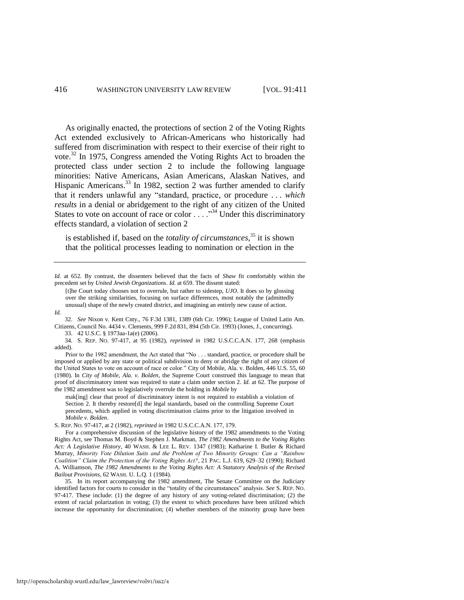As originally enacted, the protections of section 2 of the Voting Rights Act extended exclusively to African-Americans who historically had suffered from discrimination with respect to their exercise of their right to vote.<sup>32</sup> In 1975, Congress amended the Voting Rights Act to broaden the protected class under section 2 to include the following language minorities: Native Americans, Asian Americans, Alaskan Natives, and Hispanic Americans.<sup>33</sup> In 1982, section 2 was further amended to clarify that it renders unlawful any "standard, practice, or procedure . . . *which results* in a denial or abridgement to the right of any citizen of the United States to vote on account of race or color  $\ldots$  ."<sup>34</sup> Under this discriminatory effects standard, a violation of section 2

<span id="page-6-1"></span><span id="page-6-0"></span>is established if, based on the *totality of circumstances*, <sup>35</sup> it is shown that the political processes leading to nomination or election in the

[t]he Court today chooses not to overrule, but rather to sidestep, *UJO*. It does so by glossing over the striking similarities, focusing on surface differences, most notably the (admittedly unusual) shape of the newly created district, and imagining an entirely new cause of action.

32. *See* Nixon v. Kent Cnty., 76 F.3d 1381, 1389 (6th Cir. 1996); League of United Latin Am. Citizens, Council No. 4434 v. Clements, 999 F.2d 831, 894 (5th Cir. 1993) (Jones, J., concurring).

33. 42 U.S.C. § 1973aa-1a(e) (2006).

34*.* S. REP. NO. 97-417, at 95 (1982), *reprinted in* 1982 U.S.C.C.A.N. 177, 268 (emphasis added).

Prior to the 1982 amendment, the Act stated that "No . . . standard, practice, or procedure shall be imposed or applied by any state or political subdivision to deny or abridge the right of any citizen of the United States to vote on account of race or color." City of Mobile, Ala. v. Bolden, 446 U.S. 55, 60 (1980). In *City of Mobile, Ala. v. Bolden*, the Supreme Court construed this language to mean that proof of discriminatory intent was required to state a claim under section 2. *Id.* at 62. The purpose of the 1982 amendment was to legislatively overrule the holding in *Mobile* by

mak[ing] clear that proof of discriminatory intent is not required to establish a violation of Section 2. It thereby restore[d] the legal standards, based on the controlling Supreme Court precedents, which applied in voting discrimination claims prior to the litigation involved in *Mobile v. Bolden*.

S. REP. NO. 97-417, at 2 (1982), *reprinted in* 1982 U.S.C.C.A.N. 177, 179.

 For a comprehensive discussion of the legislative history of the 1982 amendments to the Voting Rights Act, see Thomas M. Boyd & Stephen J. Markman, *The 1982 Amendments to the Voting Rights Act: A Legislative History*, 40 WASH. & LEE L. REV. 1347 (1983); Katharine I. Butler & Richard Murray, *Minority Vote Dilution Suits and the Problem of Two Minority Groups: Can a "Rainbow Coalition" Claim the Protection of the Voting Rights Act?*, 21 PAC. L.J. 619, 629–32 (1990); Richard A. Williamson, *The 1982 Amendments to the Voting Rights Act: A Statutory Analysis of the Revised Bailout Provisions*, 62 WASH. U. L.Q. 1 (1984).

35. In its report accompanying the 1982 amendment, The Senate Committee on the Judiciary identified factors for courts to consider in the "totality of the circumstances" analysis. *See* S. REP. NO. 97-417. These include: (1) the degree of any history of any voting-related discrimination; (2) the extent of racial polarization in voting; (3) the extent to which procedures have been utilized which increase the opportunity for discrimination; (4) whether members of the minority group have been

*Id.* at 652. By contrast, the dissenters believed that the facts of *Shaw* fit comfortably within the precedent set by *United Jewish Organizations*. *Id.* at 659. The dissent stated:

*Id.*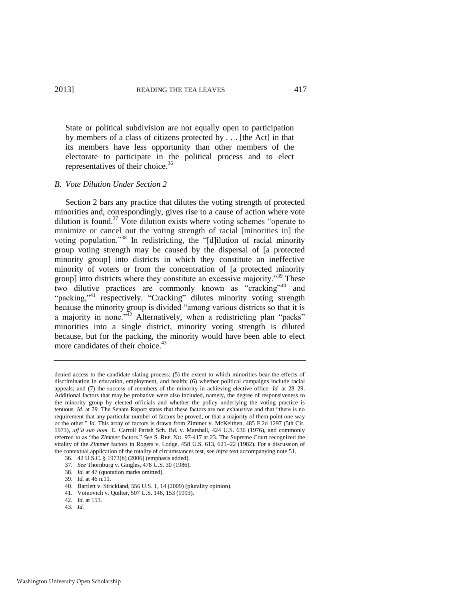State or political subdivision are not equally open to participation by members of a class of citizens protected by . . . [the Act] in that its members have less opportunity than other members of the electorate to participate in the political process and to elect representatives of their choice.<sup>36</sup>

## *B. Vote Dilution Under Section 2*

Section 2 bars any practice that dilutes the voting strength of protected minorities and, correspondingly, gives rise to a cause of action where vote dilution is found. $37$  Vote dilution exists where voting schemes "operate to minimize or cancel out the voting strength of racial [minorities in] the voting population."<sup>38</sup> In redistricting, the "[d]ilution of racial minority group voting strength may be caused by the dispersal of [a protected minority group] into districts in which they constitute an ineffective minority of voters or from the concentration of [a protected minority group] into districts where they constitute an excessive majority."<sup>39</sup> These two dilutive practices are commonly known as "cracking"<sup>40</sup> and "packing,"<sup>41</sup> respectively. "Cracking" dilutes minority voting strength because the minority group is divided "among various districts so that it is a majority in none.<sup> $1/2$ </sup> Alternatively, when a redistricting plan "packs" minorities into a single district, minority voting strength is diluted because, but for the packing, the minority would have been able to elect more candidates of their choice.<sup>43</sup>

denied access to the candidate slating process; (5) the extent to which minorities bear the effects of discrimination in education, employment, and health; (6) whether political campaigns include racial appeals; and (7) the success of members of the minority in achieving elective office. *Id.* at 28–29. Additional factors that may be probative were also included, namely, the degree of responsiveness to the minority group by elected officials and whether the policy underlying the voting practice is tenuous. *Id.* at 29. The Senate Report states that these factors are not exhaustive and that "there is no requirement that any particular number of factors be proved, or that a majority of them point one way or the other." *Id.* This array of factors is drawn from Zimmer v. McKeithen, 485 F.2d 1297 (5th Cir. 1973), *aff'd sub nom.* E. Carroll Parish Sch. Bd. v. Marshall, 424 U.S. 636 (1976), and commonly referred to as "the *Zimmer* factors." *See* S. REP. NO. 97-417 at 23. The Supreme Court recognized the vitality of the *Zimmer* factors in Rogers v. Lodge, 458 U.S. 613, 621–22 (1982). For a discussion of the contextual application of the totality of circumstances test, see *infra* text accompanying not[e 51.](#page-8-0)

<sup>36. 42</sup> U.S.C. § 1973(b) (2006) (emphasis added).

<sup>37.</sup> *See* Thornburg v. Gingles, 478 U.S. 30 (1986).

<sup>38.</sup> *Id.* at 47 (quotation marks omitted).

<sup>39.</sup> *Id.* at 46 n.11.

<sup>40.</sup> Bartlett v. Strickland, 556 U.S. 1, 14 (2009) (plurality opinion).

<sup>41.</sup> Voinovich v. Quilter, 507 U.S. 146, 153 (1993).

<sup>42.</sup> *Id.* at 153.

<sup>43.</sup> *Id.*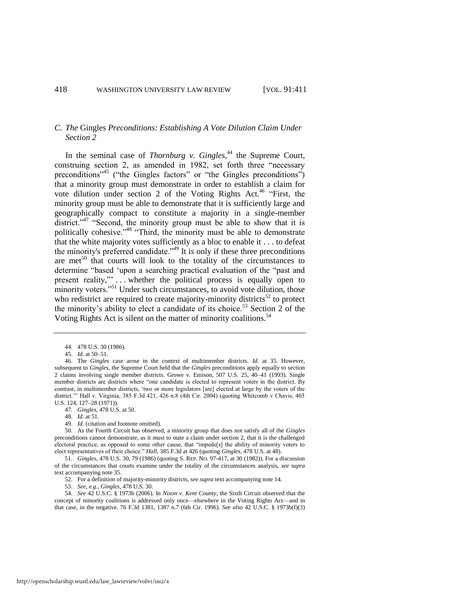# *C. The* Gingles *Preconditions: Establishing A Vote Dilution Claim Under Section 2*

In the seminal case of *Thornburg v. Gingles*, <sup>44</sup> the Supreme Court, construing section 2, as amended in 1982, set forth three "necessary preconditions"<sup>45</sup> ("the Gingles factors" or "the Gingles preconditions") that a minority group must demonstrate in order to establish a claim for vote dilution under section 2 of the Voting Rights Act.<sup>46</sup> "First, the minority group must be able to demonstrate that it is sufficiently large and geographically compact to constitute a majority in a single-member district."<sup>47</sup> "Second, the minority group must be able to show that it is politically cohesive."<sup>48</sup> "Third, the minority must be able to demonstrate that the white majority votes sufficiently as a bloc to enable it . . . to defeat the minority's preferred candidate."<sup>49</sup> It is only if these three preconditions are met<sup>50</sup> that courts will look to the totality of the circumstances to determine "based 'upon a searching practical evaluation of the "past and present reality,"' . . . whether the political process is equally open to minority voters."<sup>51</sup> Under such circumstances, to avoid vote dilution, those who redistrict are required to create majority-minority districts<sup>52</sup> to protect the minority's ability to elect a candidate of its choice.<sup>53</sup> Section 2 of the Voting Rights Act is silent on the matter of minority coalitions.<sup>54</sup>

46. The *Gingles* case arose in the context of multimember districts. *Id.* at 35. However, subsequent to *Gingles*, the Supreme Court held that the *Gingles* preconditions apply equally to section 2 claims involving single member districts. Growe v. Emison, 507 U.S. 25, 40–41 (1993). Single member districts are districts where "one candidate is elected to represent voters in the district. By contrast, in multimember districts, 'two or more legislators [are] elected at large by the voters of the district.'" Hall v. Virginia, 385 F.3d 421, 426 n.8 (4th Cir. 2004) (quoting Whitcomb v Chavis, 403 U.S. 124, 127–28 (1971)).

- 47*. Gingles*, 478 U.S. at 50.
- 48. *Id.* at 51.
- 49. *Id.* (citation and footnote omitted).

50. As the Fourth Circuit has observed, a minority group that does not satisfy all of the *Gingles*  preconditions cannot demonstrate, as it must to state a claim under section 2, that it is the challenged electoral practice, as opposed to some other cause, that "impede[s] the ability of minority voters to elect representatives of their choice." *Hall*, 385 F.3d at 426 (quoting *Gingles*, 478 U.S. at 48).

51. *Gingles*, 478 U.S. 30, 79 (1986) (quoting S. REP. NO. 97-417, at 30 (1982)). For a discussion of the circumstances that courts examine under the totality of the circumstances analysis, *see supra* text accompanying not[e 35.](#page-6-0) 

52. For a definition of majority-minority districts, *see supra* text accompanying not[e 14.](#page-3-0)

53. *See, e.g.*, *Gingles*, 478 U.S. 30.

54. *See* 42 U.S.C. § 1973b (2006). In *Nixon v. Kent County*, the Sixth Circuit observed that the concept of minority coalitions is addressed only once—elsewhere in the Voting Rights Act—and in that case, in the negative. 76 F.3d 1381, 1387 n.7 (6th Cir. 1996). *See also* 42 U.S.C. § 1973b(f)(3)

<span id="page-8-0"></span><sup>44. 478</sup> U.S. 30 (1986).

<sup>45.</sup> *Id.* at 50–51.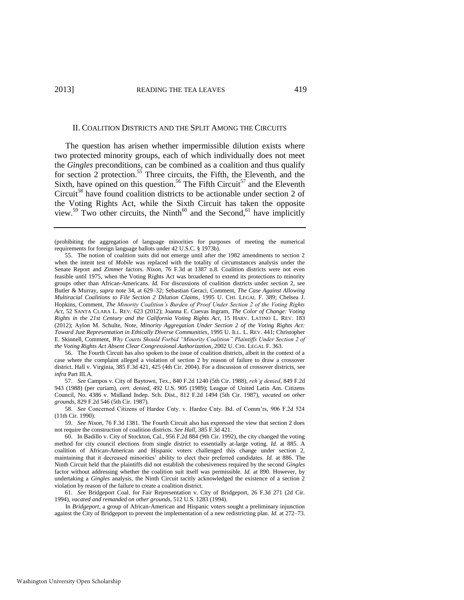## <span id="page-9-0"></span>II. COALITION DISTRICTS AND THE SPLIT AMONG THE CIRCUITS

The question has arisen whether impermissible dilution exists where two protected minority groups, each of which individually does not meet the *Gingles* preconditions, can be combined as a coalition and thus qualify for section 2 protection.<sup>55</sup> Three circuits, the Fifth, the Eleventh, and the Sixth, have opined on this question.<sup>56</sup> The Fifth Circuit<sup>57</sup> and the Eleventh Circuit<sup>58</sup> have found coalition districts to be actionable under section 2 of the Voting Rights Act, while the Sixth Circuit has taken the opposite view.<sup>59</sup> Two other circuits, the Ninth<sup>60</sup> and the Second,<sup>61</sup> have implicitly

56. The Fourth Circuit has also spoken to the issue of coalition districts, albeit in the context of a case where the complaint alleged a violation of section 2 by reason of failure to draw a crossover district. Hall v. Virginia, 385 F.3d 421, 425 (4th Cir. 2004). For a discussion of crossover districts, see *infra* Part III.A.

57. *See* Campos v. City of Baytown, Tex., 840 F.2d 1240 (5th Cir. 1988), *reh'g denied*, 849 F.2d 943 (1988) (per curiam), *cert. denied*, 492 U.S. 905 (1989); League of United Latin Am. Citizens Council, No. 4386 v. Midland Indep. Sch. Dist., 812 F.2d 1494 (5th Cir. 1987), *vacated on other grounds*, 829 F.2d 546 (5th Cir. 1987).

58. *See* Concerned Citizens of Hardee Cnty. v. Hardee Cnty. Bd. of Comm'rs, 906 F.2d 524 (11th Cir. 1990).

59. *See Nixon*, 76 F.3d 1381. The Fourth Circuit also has expressed the view that section 2 does not require the construction of coalition districts. *See Hall*, 385 F.3d 421.

61. *See* Bridgeport Coal. for Fair Representation v. City of Bridgeport, 26 F.3d 271 (2d Cir. 1994), *vacated and remanded on other grounds*, 512 U.S. 1283 (1994).

 In *Bridgeport*, a group of African-American and Hispanic voters sought a preliminary injunction against the City of Bridgeport to prevent the implementation of a new redistricting plan. *Id.* at 272–73.

<sup>(</sup>prohibiting the aggregation of language minorities for purposes of meeting the numerical requirements for foreign language ballots under 42 U.S.C. § 1973b).

<sup>55.</sup> The notion of coalition suits did not emerge until after the 1982 amendments to section 2 when the intent test of *Mobile* was replaced with the totality of circumstances analysis under the Senate Report and *Zimmer* factors. *Nixon*, 76 F.3d at 1387 n.8. Coalition districts were not even feasible until 1975, when the Voting Rights Act was broadened to extend its protections to minority groups other than African-Americans. *Id.* For discussions of coalition districts under section 2, see Butler & Murray, *supra* note 34, at 629–32; Sebastian Geraci, Comment, *The Case Against Allowing Multiracial Coalitions to File Section 2 Dilution Claims*, 1995 U. CHI. LEGAL F. 389; Chelsea J. Hopkins, Comment, *The Minority Coalition's Burden of Proof Under Section 2 of the Voting Rights Act*, 52 SANTA CLARA L. REV. 623 (2012); Joanna E. Cuevas Ingram, *The Color of Change: Voting Rights in the 21st Century and the California Voting Rights Act*, 15 HARV. LATINO L. REV. 183 (2012); Aylon M. Schulte, Note, *Minority Aggregation Under Section 2 of the Voting Rights Act: Toward Just Representation in Ethically Diverse Communities*, 1995 U. ILL. L. REV. 441; Christopher E. Skinnell, Comment, *Why Courts Should Forbid "Minority Coalition" Plaintiffs Under Section 2 of the Voting Rights Act Absent Clear Congressional Authorization*, 2002 U. CHI. LEGAL F. 363.

<sup>60.</sup> In Badillo v. City of Stockton, Cal., 956 F.2d 884 (9th Cir. 1992), the city changed the voting method for city council elections from single district to essentially at-large voting. *Id.* at 885. A coalition of African-American and Hispanic voters challenged this change under section 2, maintaining that it decreased minorities' ability to elect their preferred candidates. *Id.* at 886. The Ninth Circuit held that the plaintiffs did not establish the cohesiveness required by the second *Gingles*  factor without addressing whether the coalition suit itself was permissible. *Id.* at 890. However, by undertaking a *Gingles* analysis, the Ninth Circuit tacitly acknowledged the existence of a section 2 violation by reason of the failure to create a coalition district.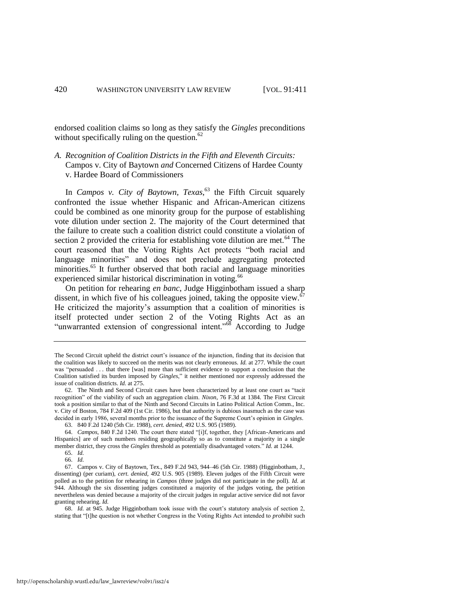endorsed coalition claims so long as they satisfy the *Gingles* preconditions without specifically ruling on the question. $62$ 

*A. Recognition of Coalition Districts in the Fifth and Eleventh Circuits:*  Campos v. City of Baytown *and* Concerned Citizens of Hardee County v. Hardee Board of Commissioners

In *Campos v. City of Baytown, Texas*, <sup>63</sup> the Fifth Circuit squarely confronted the issue whether Hispanic and African-American citizens could be combined as one minority group for the purpose of establishing vote dilution under section 2. The majority of the Court determined that the failure to create such a coalition district could constitute a violation of section 2 provided the criteria for establishing vote dilution are met. $64$  The court reasoned that the Voting Rights Act protects "both racial and language minorities" and does not preclude aggregating protected minorities.<sup>65</sup> It further observed that both racial and language minorities experienced similar historical discrimination in voting.<sup>66</sup>

On petition for rehearing *en banc*, Judge Higginbotham issued a sharp dissent, in which five of his colleagues joined, taking the opposite view. $67$ He criticized the majority's assumption that a coalition of minorities is itself protected under section 2 of the Voting Rights Act as an "unwarranted extension of congressional intent."<sup>68</sup> According to Judge

The Second Circuit upheld the district court's issuance of the injunction, finding that its decision that the coalition was likely to succeed on the merits was not clearly erroneous. *Id.* at 277. While the court was "persuaded . . . that there [was] more than sufficient evidence to support a conclusion that the Coalition satisfied its burden imposed by *Gingles*," it neither mentioned nor expressly addressed the issue of coalition districts. *Id.* at 275.

<sup>62.</sup> The Ninth and Second Circuit cases have been characterized by at least one court as "tacit recognition" of the viability of such an aggregation claim. *Nixon*, 76 F.3d at 1384. The First Circuit took a position similar to that of the Ninth and Second Circuits in Latino Political Action Comm., Inc. v. City of Boston, 784 F.2d 409 (1st Cir. 1986), but that authority is dubious inasmuch as the case was decided in early 1986, several months prior to the issuance of the Supreme Court's opinion in *Gingles*. 63. 840 F.2d 1240 (5th Cir. 1988), *cert. denied*, 492 U.S. 905 (1989).

<sup>64.</sup> *Campos*, 840 F.2d 1240. The court there stated "[i]f, together, they [African-Americans and

Hispanics] are of such numbers residing geographically so as to constitute a majority in a single member district, they cross the *Gingles* threshold as potentially disadvantaged voters." *Id.* at 1244.

<sup>65.</sup> *Id.*

<sup>66.</sup> *Id.* 

<sup>67.</sup> Campos v. City of Baytown, Tex., 849 F.2d 943, 944–46 (5th Cir. 1988) (Higginbotham, J., dissenting) (per curiam), *cert. denied*, 492 U.S. 905 (1989). Eleven judges of the Fifth Circuit were polled as to the petition for rehearing in *Campos* (three judges did not participate in the poll). *Id.* at 944. Although the six dissenting judges constituted a majority of the judges voting, the petition nevertheless was denied because a majority of the circuit judges in regular active service did not favor granting rehearing. *Id.*

<sup>68.</sup> *Id.* at 945. Judge Higginbotham took issue with the court's statutory analysis of section 2, stating that "[t]he question is not whether Congress in the Voting Rights Act intended to *prohibit* such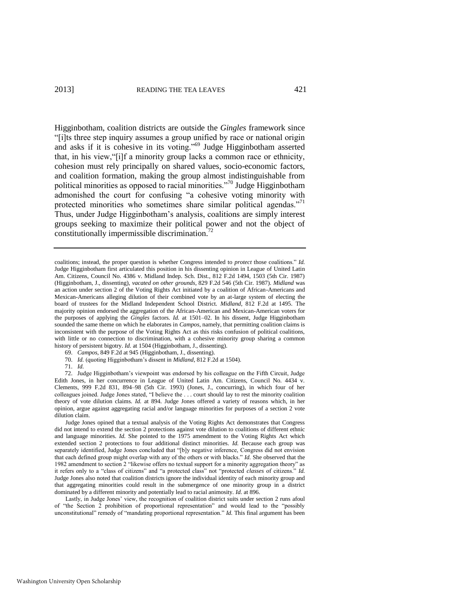Higginbotham, coalition districts are outside the *Gingles* framework since "[i]ts three step inquiry assumes a group unified by race or national origin and asks if it is cohesive in its voting."<sup>69</sup> Judge Higginbotham asserted that, in his view,"[i]f a minority group lacks a common race or ethnicity, cohesion must rely principally on shared values, socio-economic factors, and coalition formation, making the group almost indistinguishable from political minorities as opposed to racial minorities."<sup>70</sup> Judge Higginbotham admonished the court for confusing "a cohesive voting minority with protected minorities who sometimes share similar political agendas."<sup>71</sup> Thus, under Judge Higginbotham's analysis, coalitions are simply interest groups seeking to maximize their political power and not the object of constitutionally impermissible discrimination.<sup>72</sup>

coalitions; instead, the proper question is whether Congress intended to *protect* those coalitions." *Id.*  Judge Higginbotham first articulated this position in his dissenting opinion in League of United Latin Am. Citizens, Council No. 4386 v. Midland Indep. Sch. Dist., 812 F.2d 1494, 1503 (5th Cir. 1987) (Higginbotham, J., dissenting), *vacated on other grounds*, 829 F.2d 546 (5th Cir. 1987). *Midland* was an action under section 2 of the Voting Rights Act initiated by a coalition of African-Americans and Mexican-Americans alleging dilution of their combined vote by an at-large system of electing the board of trustees for the Midland Independent School District. *Midland*, 812 F.2d at 1495. The majority opinion endorsed the aggregation of the African-American and Mexican-American voters for the purposes of applying the *Gingles* factors. *Id.* at 1501–02. In his dissent, Judge Higginbotham sounded the same theme on which he elaborates in *Campos*, namely, that permitting coalition claims is inconsistent with the purpose of the Voting Rights Act as this risks confusion of political coalitions, with little or no connection to discrimination, with a cohesive minority group sharing a common history of persistent bigotry. *Id.* at 1504 (Higginbotham, J., dissenting).

- 69. *Campos*, 849 F.2d at 945 (Higginbotham, J., dissenting).
- 70. *Id.* (quoting Higginbotham's dissent in *Midland*, 812 F.2d at 1504).

#### 71. *Id.*

72. Judge Higginbotham's viewpoint was endorsed by his colleague on the Fifth Circuit, Judge Edith Jones, in her concurrence in League of United Latin Am. Citizens, Council No. 4434 v. Clements, 999 F.2d 831, 894–98 (5th Cir. 1993) (Jones, J., concurring), in which four of her colleagues joined. Judge Jones stated, "I believe the . . . court should lay to rest the minority coalition theory of vote dilution claims. *Id.* at 894. Judge Jones offered a variety of reasons which, in her opinion, argue against aggregating racial and/or language minorities for purposes of a section 2 vote dilution claim.

 Judge Jones opined that a textual analysis of the Voting Rights Act demonstrates that Congress did not intend to extend the section 2 protections against vote dilution to coalitions of different ethnic and language minorities. *Id.* She pointed to the 1975 amendment to the Voting Rights Act which extended section 2 protections to four additional distinct minorities. *Id.* Because each group was separately identified, Judge Jones concluded that "[b]y negative inference, Congress did not envision that each defined group might overlap with any of the others or with blacks." *Id.* She observed that the 1982 amendment to section 2 "likewise offers no textual support for a minority aggregation theory" as it refers only to a "class of citizens" and "a protected class" not "protected *classes* of citizens." *Id.* Judge Jones also noted that coalition districts ignore the individual identity of each minority group and that aggregating minorities could result in the submergence of one minority group in a district dominated by a different minority and potentially lead to racial animosity. *Id.* at 896.

Lastly, in Judge Jones' view, the recognition of coalition district suits under section 2 runs afoul of "the Section 2 prohibition of proportional representation" and would lead to the "possibly unconstitutional" remedy of "mandating proportional representation." *Id.* This final argument has been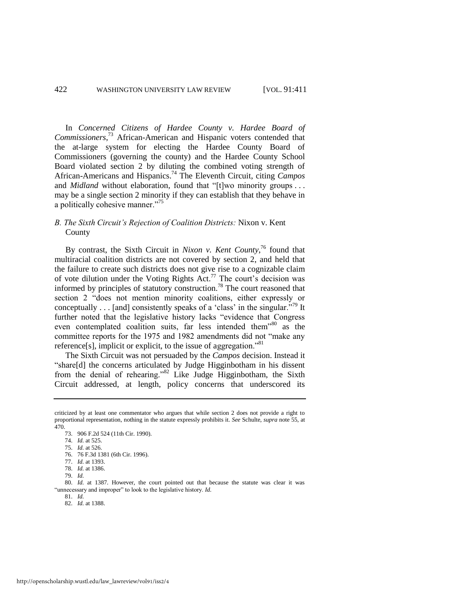In *Concerned Citizens of Hardee County v. Hardee Board of Commissioners*, <sup>73</sup> African-American and Hispanic voters contended that the at-large system for electing the Hardee County Board of Commissioners (governing the county) and the Hardee County School Board violated section 2 by diluting the combined voting strength of African-Americans and Hispanics.<sup>74</sup> The Eleventh Circuit, citing *Campos* and *Midland* without elaboration, found that "[t]wo minority groups ... may be a single section 2 minority if they can establish that they behave in a politically cohesive manner."<sup>75</sup>

# *B. The Sixth Circuit's Rejection of Coalition Districts:* Nixon v. Kent County

By contrast, the Sixth Circuit in *Nixon v. Kent County*, <sup>76</sup> found that multiracial coalition districts are not covered by section 2, and held that the failure to create such districts does not give rise to a cognizable claim of vote dilution under the Voting Rights Act.<sup>77</sup> The court's decision was informed by principles of statutory construction.<sup>78</sup> The court reasoned that section 2 "does not mention minority coalitions, either expressly or conceptually  $\ldots$  [and] consistently speaks of a 'class' in the singular."<sup>79</sup> It further noted that the legislative history lacks "evidence that Congress even contemplated coalition suits, far less intended them<sup>380</sup> as the committee reports for the 1975 and 1982 amendments did not "make any reference[s], implicit or explicit, to the issue of aggregation."<sup>81</sup>

The Sixth Circuit was not persuaded by the *Campos* decision. Instead it "share[d] the concerns articulated by Judge Higginbotham in his dissent from the denial of rehearing."<sup>82</sup> Like Judge Higginbotham, the Sixth Circuit addressed, at length, policy concerns that underscored its

80. *Id.* at 1387. However, the court pointed out that because the statute was clear it was "unnecessary and improper" to look to the legislative history. *Id.*

criticized by at least one commentator who argues that while section 2 does not provide a right to proportional representation, nothing in the statute expressly prohibits it. *See* Schulte, *supra* note 55, at 470.

<sup>73. 906</sup> F.2d 524 (11th Cir. 1990).

<sup>74.</sup> *Id.* at 525.

<sup>75.</sup> *Id.* at 526.

<sup>76. 76</sup> F.3d 1381 (6th Cir. 1996).

<sup>77.</sup> *Id.* at 1393.

<sup>78.</sup> *Id.* at 1386.

<sup>79.</sup> *Id.*

<sup>81.</sup> *Id.* 82. *Id.* at 1388.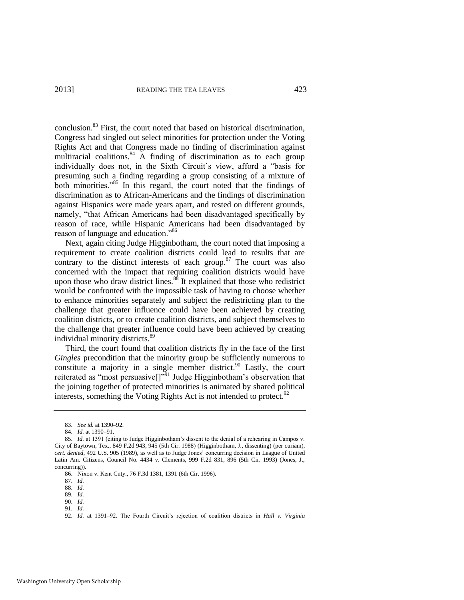conclusion.<sup>83</sup> First, the court noted that based on historical discrimination, Congress had singled out select minorities for protection under the Voting Rights Act and that Congress made no finding of discrimination against multiracial coalitions. $84 \times$  A finding of discrimination as to each group individually does not, in the Sixth Circuit's view, afford a "basis for presuming such a finding regarding a group consisting of a mixture of both minorities."<sup>85</sup> In this regard, the court noted that the findings of discrimination as to African-Americans and the findings of discrimination against Hispanics were made years apart, and rested on different grounds, namely, "that African Americans had been disadvantaged specifically by reason of race, while Hispanic Americans had been disadvantaged by reason of language and education."<sup>86</sup>

Next, again citing Judge Higginbotham, the court noted that imposing a requirement to create coalition districts could lead to results that are contrary to the distinct interests of each group. $87$  The court was also concerned with the impact that requiring coalition districts would have upon those who draw district lines. $88$  It explained that those who redistrict would be confronted with the impossible task of having to choose whether to enhance minorities separately and subject the redistricting plan to the challenge that greater influence could have been achieved by creating coalition districts, or to create coalition districts, and subject themselves to the challenge that greater influence could have been achieved by creating individual minority districts.<sup>89</sup>

Third, the court found that coalition districts fly in the face of the first *Gingles* precondition that the minority group be sufficiently numerous to constitute a majority in a single member district.<sup>90</sup> Lastly, the court reiterated as "most persuasive[]"<sup>91</sup> Judge Higginbotham's observation that the joining together of protected minorities is animated by shared political interests, something the Voting Rights Act is not intended to protect. $92$ 

<sup>83.</sup> *See id.* at 1390–92.

<sup>84.</sup> *Id.* at 1390–91.

<sup>85.</sup> *Id.* at 1391 (citing to Judge Higginbotham's dissent to the denial of a rehearing in Campos v. City of Baytown, Tex., 849 F.2d 943, 945 (5th Cir. 1988) (Higginbotham, J., dissenting) (per curiam), *cert. denied*, 492 U.S. 905 (1989), as well as to Judge Jones' concurring decision in League of United Latin Am. Citizens, Council No. 4434 v. Clements, 999 F.2d 831, 896 (5th Cir. 1993) (Jones, J., concurring)).

<sup>86.</sup> Nixon v. Kent Cnty., 76 F.3d 1381, 1391 (6th Cir. 1996).

<sup>87.</sup> *Id.*

<sup>88.</sup> *Id.*

<sup>89.</sup> *Id.*

<sup>90.</sup> *Id.*

<sup>91.</sup> *Id.*

<sup>92.</sup> *Id.* at 1391–92. The Fourth Circuit's rejection of coalition districts in *Hall v. Virginia*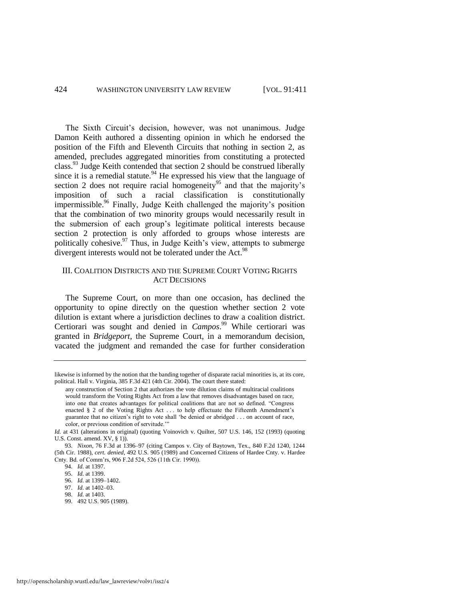The Sixth Circuit's decision, however, was not unanimous. Judge Damon Keith authored a dissenting opinion in which he endorsed the position of the Fifth and Eleventh Circuits that nothing in section 2, as amended, precludes aggregated minorities from constituting a protected class.<sup>93</sup> Judge Keith contended that section 2 should be construed liberally since it is a remedial statute.<sup>94</sup> He expressed his view that the language of section 2 does not require racial homogeneity<sup>95</sup> and that the majority's imposition of such a racial classification is constitutionally impermissible.<sup>96</sup> Finally, Judge Keith challenged the majority's position that the combination of two minority groups would necessarily result in the submersion of each group's legitimate political interests because section 2 protection is only afforded to groups whose interests are politically cohesive. $97$  Thus, in Judge Keith's view, attempts to submerge divergent interests would not be tolerated under the Act.<sup>98</sup>

# III. COALITION DISTRICTS AND THE SUPREME COURT VOTING RIGHTS ACT DECISIONS

The Supreme Court, on more than one occasion, has declined the opportunity to opine directly on the question whether section 2 vote dilution is extant where a jurisdiction declines to draw a coalition district. Certiorari was sought and denied in *Campos*. <sup>99</sup> While certiorari was granted in *Bridgeport*, the Supreme Court, in a memorandum decision, vacated the judgment and remanded the case for further consideration

likewise is informed by the notion that the banding together of disparate racial minorities is, at its core, political. Hall v. Virginia, 385 F.3d 421 (4th Cir. 2004). The court there stated:

any construction of Section 2 that authorizes the vote dilution claims of multiracial coalitions would transform the Voting Rights Act from a law that removes disadvantages based on race, into one that creates advantages for political coalitions that are not so defined. "Congress enacted § 2 of the Voting Rights Act . . . to help effectuate the Fifteenth Amendment's guarantee that no citizen's right to vote shall 'be denied or abridged . . . on account of race, color, or previous condition of servitude.'

*Id.* at 431 (alterations in original) (quoting Voinovich v. Quilter, 507 U.S. 146, 152 (1993) (quoting U.S. Const. amend. XV, § 1)).

<sup>93.</sup> *Nixon*, 76 F.3d at 1396–97 (citing Campos v. City of Baytown, Tex., 840 F.2d 1240, 1244 (5th Cir. 1988), *cert. denied*, 492 U.S. 905 (1989) and Concerned Citizens of Hardee Cnty. v. Hardee Cnty. Bd. of Comm'rs, 906 F.2d 524, 526 (11th Cir. 1990)).

<sup>94.</sup> *Id.* at 1397.

<sup>95.</sup> *Id.* at 1399.

<sup>96.</sup> *Id.* at 1399–1402.

<sup>97.</sup> *Id.* at 1402–03.

<sup>98.</sup> *Id.* at 1403.

<sup>99. 492</sup> U.S. 905 (1989).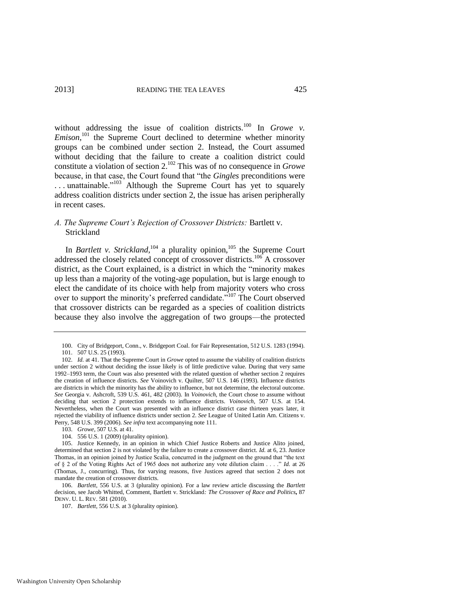without addressing the issue of coalition districts.<sup>100</sup> In *Growe v. Emison*,<sup>101</sup> the Supreme Court declined to determine whether minority groups can be combined under section 2. Instead, the Court assumed without deciding that the failure to create a coalition district could constitute a violation of section 2.<sup>102</sup> This was of no consequence in *Growe*  because, in that case, the Court found that "the *Gingles* preconditions were ... unattainable."<sup>103</sup> Although the Supreme Court has yet to squarely address coalition districts under section 2, the issue has arisen peripherally in recent cases.

# *A. The Supreme Court's Rejection of Crossover Districts:* Bartlett v. Strickland

In *Bartlett v. Strickland*,  $104$  a plurality opinion,  $105$  the Supreme Court addressed the closely related concept of crossover districts.<sup>106</sup> A crossover district, as the Court explained, is a district in which the "minority makes up less than a majority of the voting-age population, but is large enough to elect the candidate of its choice with help from majority voters who cross over to support the minority's preferred candidate."<sup>107</sup> The Court observed that crossover districts can be regarded as a species of coalition districts because they also involve the aggregation of two groups—the protected

104. 556 U.S. 1 (2009) (plurality opinion).

<sup>100.</sup> City of Bridgeport, Conn., v. Bridgeport Coal. for Fair Representation, 512 U.S. 1283 (1994). 101. 507 U.S. 25 (1993).

<sup>102.</sup> *Id.* at 41. That the Supreme Court in *Growe* opted to assume the viability of coalition districts under section 2 without deciding the issue likely is of little predictive value. During that very same 1992–1993 term, the Court was also presented with the related question of whether section 2 requires the creation of influence districts. *See* Voinovich v. Quilter, 507 U.S. 146 (1993). Influence districts are districts in which the minority has the ability to influence, but not determine, the electoral outcome. *See* Georgia v. Ashcroft, 539 U.S. 461, 482 (2003). In *Voinovich*, the Court chose to assume without deciding that section 2 protection extends to influence districts. *Voinovich*, 507 U.S. at 154. Nevertheless, when the Court was presented with an influence district case thirteen years later, it rejected the viability of influence districts under section 2. *See* League of United Latin Am. Citizens v. Perry, 548 U.S. 399 (2006). *See infra* text accompanying not[e 111.](#page-16-0)

<sup>103.</sup> *Growe*, 507 U.S. at 41.

<sup>105.</sup> Justice Kennedy, in an opinion in which Chief Justice Roberts and Justice Alito joined, determined that section 2 is not violated by the failure to create a crossover district. *Id.* at 6, 23. Justice Thomas, in an opinion joined by Justice Scalia, concurred in the judgment on the ground that "the text of § 2 of the Voting Rights Act of 1965 does not authorize any vote dilution claim . . . ." *Id.* at 26 (Thomas, J., concurring). Thus, for varying reasons, five Justices agreed that section 2 does not mandate the creation of crossover districts.

<sup>106.</sup> *Bartlett*, 556 U.S. at 3 (plurality opinion). For a law review article discussing the *Bartlett*  decision, see Jacob Whitted, Comment, Bartlett v. Strickland*: The Crossover of Race and Politics***,** 87 DENV. U. L. REV. 581 (2010).

<sup>107.</sup> *Bartlett*, 556 U.S. at 3 (plurality opinion)*.*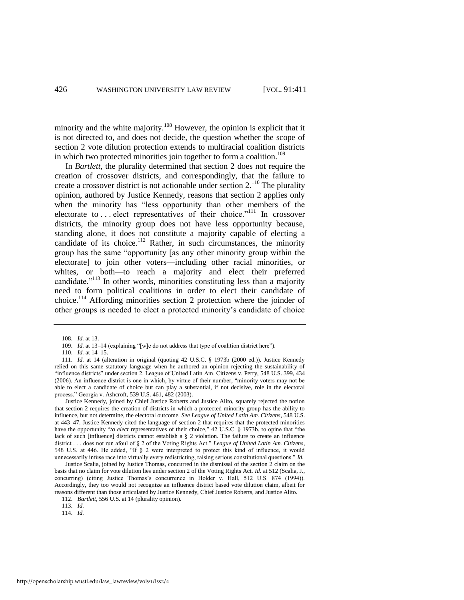minority and the white majority.<sup>108</sup> However, the opinion is explicit that it is not directed to, and does not decide, the question whether the scope of section 2 vote dilution protection extends to multiracial coalition districts in which two protected minorities join together to form a coalition.<sup>109</sup>

<span id="page-16-0"></span>In *Bartlett*, the plurality determined that section 2 does not require the creation of crossover districts, and correspondingly, that the failure to create a crossover district is not actionable under section  $2.^{110}$ . The plurality opinion, authored by Justice Kennedy, reasons that section 2 applies only when the minority has "less opportunity than other members of the electorate to ... elect representatives of their choice."<sup>111</sup> In crossover districts, the minority group does not have less opportunity because, standing alone, it does not constitute a majority capable of electing a candidate of its choice.<sup>112</sup> Rather, in such circumstances, the minority group has the same "opportunity [as any other minority group within the electorate] to join other voters—including other racial minorities, or whites, or both—to reach a majority and elect their preferred candidate."<sup>113</sup> In other words, minorities constituting less than a majority need to form political coalitions in order to elect their candidate of choice.<sup>114</sup> Affording minorities section 2 protection where the joinder of other groups is needed to elect a protected minority's candidate of choice

113. *Id.*

<sup>108.</sup> *Id.* at 13.

<sup>109.</sup> *Id.* at 13-14 (explaining "[w]e do not address that type of coalition district here").

<sup>110.</sup> *Id.* at 14–15.

<sup>111.</sup> *Id.* at 14 (alteration in original (quoting 42 U.S.C. § 1973b (2000 ed.)). Justice Kennedy relied on this same statutory language when he authored an opinion rejecting the sustainability of "influence districts" under section 2. League of United Latin Am. Citizens v. Perry, 548 U.S. 399, 434 (2006). An influence district is one in which, by virtue of their number, "minority voters may not be able to elect a candidate of choice but can play a substantial, if not decisive, role in the electoral process." Georgia v. Ashcroft, 539 U.S. 461, 482 (2003).

Justice Kennedy, joined by Chief Justice Roberts and Justice Alito, squarely rejected the notion that section 2 requires the creation of districts in which a protected minority group has the ability to influence, but not determine, the electoral outcome. *See League of United Latin Am. Citizens*, 548 U.S. at 443–47. Justice Kennedy cited the language of section 2 that requires that the protected minorities have the opportunity "*to elect* representatives of their choice," 42 U.S.C. § 1973b, to opine that "the lack of such [influence] districts cannot establish a § 2 violation. The failure to create an influence district . . . does not run afoul of § 2 of the Voting Rights Act." *League of United Latin Am. Citizens*, 548 U.S. at 446. He added, "If § 2 were interpreted to protect this kind of influence, it would unnecessarily infuse race into virtually every redistricting, raising serious constitutional questions." *Id.*

Justice Scalia, joined by Justice Thomas, concurred in the dismissal of the section 2 claim on the basis that no claim for vote dilution lies under section 2 of the Voting Rights Act. *Id.* at 512 (Scalia, J., concurring) (citing Justice Thomas's concurrence in Holder v. Hall, 512 U.S. 874 (1994)). Accordingly, they too would not recognize an influence district based vote dilution claim, albeit for reasons different than those articulated by Justice Kennedy, Chief Justice Roberts, and Justice Alito.

<sup>112.</sup> *Bartlett*, 556 U.S. at 14 (plurality opinion).

<sup>114.</sup> *Id.*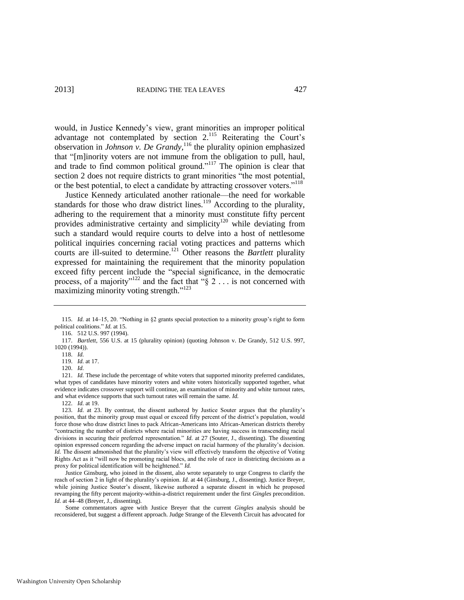would, in Justice Kennedy's view, grant minorities an improper political advantage not contemplated by section 2.<sup>115</sup> Reiterating the Court's observation in *Johnson v. De Grandy*, <sup>116</sup> the plurality opinion emphasized that "[m]inority voters are not immune from the obligation to pull, haul, and trade to find common political ground."<sup>117</sup> The opinion is clear that section 2 does not require districts to grant minorities "the most potential, or the best potential, to elect a candidate by attracting crossover voters."<sup>118</sup>

Justice Kennedy articulated another rationale—the need for workable standards for those who draw district lines.<sup>119</sup> According to the plurality, adhering to the requirement that a minority must constitute fifty percent provides administrative certainty and simplicity<sup>120</sup> while deviating from such a standard would require courts to delve into a host of nettlesome political inquiries concerning racial voting practices and patterns which courts are ill-suited to determine.<sup>121</sup> Other reasons the *Bartlett* plurality expressed for maintaining the requirement that the minority population exceed fifty percent include the "special significance, in the democratic process, of a majority"<sup>122</sup> and the fact that " $\S 2 \dots$  is not concerned with maximizing minority voting strength."<sup>123</sup>

119. *Id.* at 17.

120. *Id.*

121. *Id.* These include the percentage of white voters that supported minority preferred candidates, what types of candidates have minority voters and white voters historically supported together, what evidence indicates crossover support will continue, an examination of minority and white turnout rates, and what evidence supports that such turnout rates will remain the same. *Id.*

122. *Id.* at 19.

 Justice Ginsburg, who joined in the dissent, also wrote separately to urge Congress to clarify the reach of section 2 in light of the plurality's opinion. *Id.* at 44 (Ginsburg, J., dissenting). Justice Breyer, while joining Justice Souter's dissent, likewise authored a separate dissent in which he proposed revamping the fifty percent majority-within-a-district requirement under the first *Gingles* precondition. *Id.* at 44–48 (Breyer, J., dissenting).

 Some commentators agree with Justice Breyer that the current *Gingles* analysis should be reconsidered, but suggest a different approach. Judge Strange of the Eleventh Circuit has advocated for

<sup>115.</sup> *Id.* at 14–15, 20. "Nothing in §2 grants special protection to a minority group's right to form political coalitions." *Id.* at 15.

<sup>116. 512</sup> U.S. 997 (1994).

<sup>117.</sup> *Bartlett*, 556 U.S. at 15 (plurality opinion) (quoting Johnson v. De Grandy, 512 U.S. 997, 1020 (1994)).

<sup>118.</sup> *Id.*

<sup>123.</sup> *Id.* at 23. By contrast, the dissent authored by Justice Souter argues that the plurality's position, that the minority group must equal or exceed fifty percent of the district's population, would force those who draw district lines to pack African-Americans into African-American districts thereby "contracting the number of districts where racial minorities are having success in transcending racial divisions in securing their preferred representation." *Id.* at 27 (Souter, J., dissenting). The dissenting opinion expressed concern regarding the adverse impact on racial harmony of the plurality's decision. *Id.* The dissent admonished that the plurality's view will effectively transform the objective of Voting Rights Act as it "will now be promoting racial blocs, and the role of race in districting decisions as a proxy for political identification will be heightened." *Id.*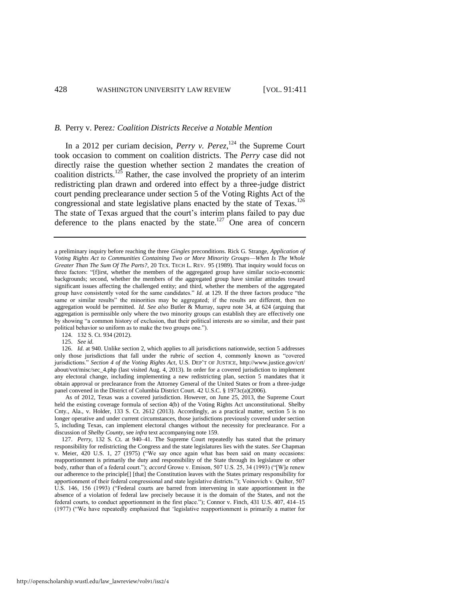#### *B.* Perry v. Perez*: Coalition Districts Receive a Notable Mention*

In a 2012 per curiam decision, *Perry v. Perez*,  $^{124}$  the Supreme Court took occasion to comment on coalition districts. The *Perry* case did not directly raise the question whether section 2 mandates the creation of coalition districts.<sup>125</sup> Rather, the case involved the propriety of an interim redistricting plan drawn and ordered into effect by a three-judge district court pending preclearance under section 5 of the Voting Rights Act of the congressional and state legislative plans enacted by the state of  $T$ exas.<sup>126</sup> The state of Texas argued that the court's interim plans failed to pay due deference to the plans enacted by the state.<sup>127</sup> One area of concern

124. 132 S. Ct. 934 (2012).

125. *See id.* 

126. *Id.* at 940. Unlike section 2, which applies to all jurisdictions nationwide, section 5 addresses only those jurisdictions that fall under the rubric of section 4, commonly known as "covered jurisdictions." *Section 4 of the Voting Rights Act*, U.S. DEP'T OF JUSTICE, http://www.justice.gov/crt/ about/vot/misc/sec\_4.php (last visited Aug. 4, 2013). In order for a covered jurisdiction to implement any electoral change, including implementing a new redistricting plan, section 5 mandates that it obtain approval or preclearance from the Attorney General of the United States or from a three-judge panel convened in the District of Columbia District Court. 42 U.S.C. § 1973c(a)(2006).

 As of 2012, Texas was a covered jurisdiction. However, on June 25, 2013, the Supreme Court held the existing coverage formula of section 4(b) of the Voting Rights Act unconstitutional. Shelby Cnty., Ala., v. Holder, 133 S. Ct. 2612 (2013). Accordingly, as a practical matter, section 5 is no longer operative and under current circumstances, those jurisdictions previously covered under section 5, including Texas, can implement electoral changes without the necessity for preclearance. For a discussion of *Shelby County*, see *infra* text accompanying not[e 159.](#page-24-0) 

127. *Perry*, 132 S. Ct. at 940–41. The Supreme Court repeatedly has stated that the primary responsibility for redistricting the Congress and the state legislatures lies with the states. *See* Chapman v. Meier, 420 U.S. 1, 27 (1975) ("We say once again what has been said on many occasions: reapportionment is primarily the duty and responsibility of the State through its legislature or other body, rather than of a federal court."); *accord* Growe v. Emison, 507 U.S. 25, 34 (1993) ("[W]e renew our adherence to the principle[] [that] the Constitution leaves with the States primary responsibility for apportionment of their federal congressional and state legislative districts."); Voinovich v. Quilter, 507 U.S. 146, 156 (1993) ("Federal courts are barred from intervening in state apportionment in the absence of a violation of federal law precisely because it is the domain of the States, and not the federal courts, to conduct apportionment in the first place."); Connor v. Finch, 431 U.S. 407, 414–15 (1977) ("We have repeatedly emphasized that 'legislative reapportionment is primarily a matter for

<span id="page-18-0"></span>a preliminary inquiry before reaching the three *Gingles* preconditions. Rick G. Strange, *Application of Voting Rights Act to Communities Containing Two or More Minority Groups*—*When Is The Whole Greater Than The Sum Of The Parts?*, 20 TEX. TECH L. REV. 95 (1989). That inquiry would focus on three factors: "[f]irst, whether the members of the aggregated group have similar socio-economic backgrounds; second, whether the members of the aggregated group have similar attitudes toward significant issues affecting the challenged entity; and third, whether the members of the aggregated group have consistently voted for the same candidates." *Id.* at 129. If the three factors produce "the same or similar results" the minorities may be aggregated; if the results are different, then no aggregation would be permitted. *Id. See also* Butler & Murray, *supra* note [34,](#page-6-1) at 624 (arguing that aggregation is permissible only where the two minority groups can establish they are effectively one by showing "a common history of exclusion, that their political interests are so similar, and their past political behavior so uniform as to make the two groups one.").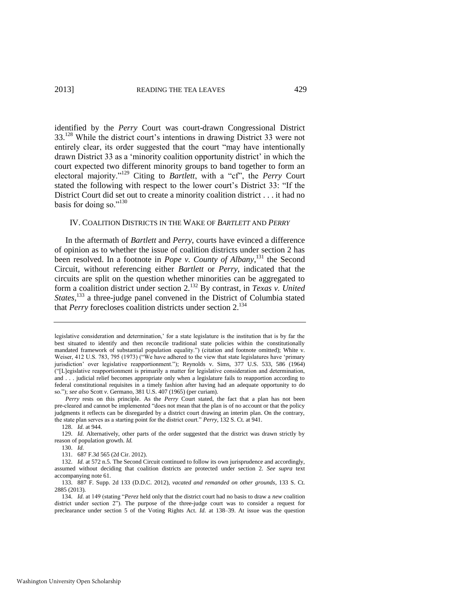identified by the *Perry* Court was court-drawn Congressional District 33.<sup>128</sup> While the district court's intentions in drawing District 33 were not entirely clear, its order suggested that the court "may have intentionally drawn District 33 as a 'minority coalition opportunity district' in which the court expected two different minority groups to band together to form an electoral majority."<sup>129</sup> Citing to *Bartlett*, with a "cf", the *Perry* Court stated the following with respect to the lower court's District 33: "If the District Court did set out to create a minority coalition district . . . it had no basis for doing so."130

### IV. COALITION DISTRICTS IN THE WAKE OF *BARTLETT* AND *PERRY*

In the aftermath of *Bartlett* and *Perry*, courts have evinced a difference of opinion as to whether the issue of coalition districts under section 2 has been resolved. In a footnote in *Pope v. County of Albany*, <sup>131</sup> the Second Circuit, without referencing either *Bartlett* or *Perry*, indicated that the circuits are split on the question whether minorities can be aggregated to form a coalition district under section 2.<sup>132</sup> By contrast, in *Texas v. United States*, <sup>133</sup> a three-judge panel convened in the District of Columbia stated that *Perry* forecloses coalition districts under section 2.<sup>134</sup>

<span id="page-19-0"></span>legislative consideration and determination,' for a state legislature is the institution that is by far the best situated to identify and then reconcile traditional state policies within the constitutionally mandated framework of substantial population equality.") (citation and footnote omitted); White v. Weiser, 412 U.S. 783, 795 (1973) ("We have adhered to the view that state legislatures have 'primary jurisdiction' over legislative reapportionment."); Reynolds v. Sims, 377 U.S. 533, 586 (1964) ("[L]egislative reapportionment is primarily a matter for legislative consideration and determination, and . . . judicial relief becomes appropriate only when a legislature fails to reapportion according to federal constitutional requisites in a timely fashion after having had an adequate opportunity to do so."); *see also* Scott *v.* Germano, 381 U.S. 407 (1965) (per curiam).

*Perry* rests on this principle. As the *Perry* Court stated, the fact that a plan has not been pre-cleared and cannot be implemented "does not mean that the plan is of no account or that the policy judgments it reflects can be disregarded by a district court drawing an interim plan. On the contrary, the state plan serves as a starting point for the district court." *Perry*, 132 S. Ct. at 941.

<sup>128.</sup> *Id.* at 944.

<sup>129.</sup> *Id.* Alternatively, other parts of the order suggested that the district was drawn strictly by reason of population growth. *Id.*

<sup>130.</sup> *Id.* 

<sup>131. 687</sup> F.3d 565 (2d Cir. 2012).

<sup>132.</sup> *Id.* at 572 n.5. The Second Circuit continued to follow its own jurisprudence and accordingly, assumed without deciding that coalition districts are protected under section 2. *See supra* text accompanying not[e 61.](#page-9-0) 

<sup>133. 887</sup> F. Supp. 2d 133 (D.D.C. 2012), *vacated and remanded on other grounds*, 133 S. Ct. 2885 (2013).

<sup>134.</sup> *Id.* at 149 (stating "*Perez* held only that the district court had no basis to draw a *new* coalition district under section 2"). The purpose of the three-judge court was to consider a request for preclearance under section 5 of the Voting Rights Act. *Id.* at 138–39. At issue was the question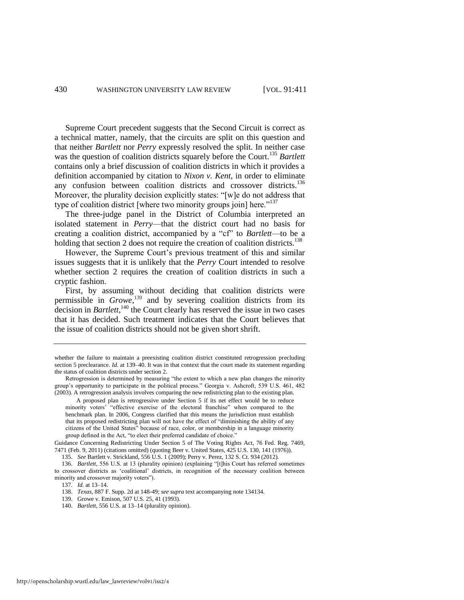Supreme Court precedent suggests that the Second Circuit is correct as a technical matter, namely, that the circuits are split on this question and that neither *Bartlett* nor *Perry* expressly resolved the split. In neither case was the question of coalition districts squarely before the Court.<sup>135</sup> Bartlett contains only a brief discussion of coalition districts in which it provides a definition accompanied by citation to *Nixon v. Kent*, in order to eliminate any confusion between coalition districts and crossover districts.<sup>136</sup> Moreover, the plurality decision explicitly states: "[w]e do not address that type of coalition district [where two minority groups join] here."<sup>137</sup>

The three-judge panel in the District of Columbia interpreted an isolated statement in *Perry*—that the district court had no basis for creating a coalition district, accompanied by a "cf" to *Bartlett*—to be a holding that section 2 does not require the creation of coalition districts.<sup>138</sup>

However, the Supreme Court's previous treatment of this and similar issues suggests that it is unlikely that the *Perry* Court intended to resolve whether section 2 requires the creation of coalition districts in such a cryptic fashion.

First, by assuming without deciding that coalition districts were permissible in *Growe*, <sup>139</sup> and by severing coalition districts from its decision in *Bartlett*,<sup>140</sup> the Court clearly has reserved the issue in two cases that it has decided. Such treatment indicates that the Court believes that the issue of coalition districts should not be given short shrift.

Guidance Concerning Redistricting Under Section 5 of The Voting Rights Act, 76 Fed. Reg. 7469, 7471 (Feb. 9, 2011) (citations omitted) (quoting Beer v. United States, 425 U.S. 130, 141 (1976)).

139. Growe v. Emison, 507 U.S. 25, 41 (1993).

whether the failure to maintain a preexisting coalition district constituted retrogression precluding section 5 preclearance. *Id.* at 139–40. It was in that context that the court made its statement regarding the status of coalition districts under section 2.

Retrogression is determined by measuring "the extent to which a new plan changes the minority group's opportunity to participate in the political process." Georgia v. Ashcroft, 539 U.S. 461, 482 (2003). A retrogression analysis involves comparing the new redistricting plan to the existing plan.

A proposed plan is retrogressive under Section 5 if its net effect would be to reduce minority voters' "effective exercise of the electoral franchise" when compared to the benchmark plan. In 2006, Congress clarified that this means the jurisdiction must establish that its proposed redistricting plan will not have the effect of "diminishing the ability of any citizens of the United States" because of race, color, or membership in a language minority group defined in the Act, "to elect their preferred candidate of choice."

<sup>135.</sup> *See* Bartlett v. Strickland, 556 U.S. 1 (2009); Perry v. Perez, 132 S. Ct. 934 (2012).

<sup>136.</sup> *Bartlett*, 556 U.S. at 13 (plurality opinion) (explaining "[t]his Court has referred sometimes to crossover districts as 'coalitional' districts, in recognition of the necessary coalition between minority and crossover majority voters").

<sup>137.</sup> *Id.* at 13–14.

<sup>138.</sup> *Texas*, 887 F. Supp. 2d at 148-49; *see supra* text accompanying note 13[4134.](#page-19-0) 

<sup>140.</sup> *Bartlett*, 556 U.S. at 13–14 (plurality opinion).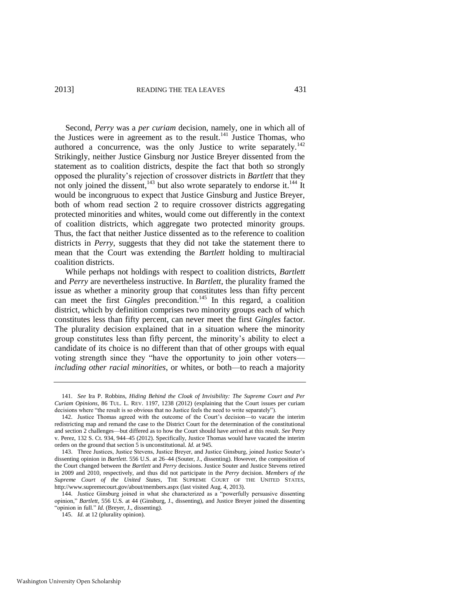Second, *Perry* was a *per curiam* decision, namely, one in which all of the Justices were in agreement as to the result.<sup>141</sup> Justice Thomas, who authored a concurrence, was the only Justice to write separately.<sup>142</sup> Strikingly, neither Justice Ginsburg nor Justice Breyer dissented from the statement as to coalition districts, despite the fact that both so strongly opposed the plurality's rejection of crossover districts in *Bartlett* that they not only joined the dissent, $143$  but also wrote separately to endorse it.<sup>144</sup> It would be incongruous to expect that Justice Ginsburg and Justice Breyer, both of whom read section 2 to require crossover districts aggregating protected minorities and whites, would come out differently in the context of coalition districts, which aggregate two protected minority groups. Thus, the fact that neither Justice dissented as to the reference to coalition districts in *Perry*, suggests that they did not take the statement there to mean that the Court was extending the *Bartlett* holding to multiracial coalition districts.

While perhaps not holdings with respect to coalition districts, *Bartlett*  and *Perry* are nevertheless instructive. In *Bartlett*, the plurality framed the issue as whether a minority group that constitutes less than fifty percent can meet the first *Gingles* precondition.<sup>145</sup> In this regard, a coalition district, which by definition comprises two minority groups each of which constitutes less than fifty percent, can never meet the first *Gingles* factor. The plurality decision explained that in a situation where the minority group constitutes less than fifty percent, the minority's ability to elect a candidate of its choice is no different than that of other groups with equal voting strength since they "have the opportunity to join other voters *including other racial minorities*, or whites, or both—to reach a majority

<sup>141.</sup> *See* Ira P. Robbins, *Hiding Behind the Cloak of Invisibility: The Supreme Court and Per Curiam Opinions*, 86 TUL. L. REV. 1197, 1238 (2012) (explaining that the Court issues per curiam decisions where "the result is so obvious that no Justice feels the need to write separately").

<sup>142.</sup> Justice Thomas agreed with the outcome of the Court's decision—to vacate the interim redistricting map and remand the case to the District Court for the determination of the constitutional and section 2 challenges—but differed as to how the Court should have arrived at this result. *See* Perry v. Perez, 132 S. Ct. 934, 944–45 (2012). Specifically, Justice Thomas would have vacated the interim orders on the ground that section 5 is unconstitutional. *Id.* at 945.

<sup>143.</sup> Three Justices, Justice Stevens, Justice Breyer, and Justice Ginsburg, joined Justice Souter's dissenting opinion in *Bartlett*. 556 U.S. at 26–44 (Souter, J., dissenting). However, the composition of the Court changed between the *Bartlett* and *Perry* decisions. Justice Souter and Justice Stevens retired in 2009 and 2010, respectively, and thus did not participate in the *Perry* decision. *Members of the Supreme Court of the United States*, THE SUPREME COURT OF THE UNITED STATES, http://www.supremecourt.gov/about/members.aspx (last visited Aug. 4, 2013).

<sup>144.</sup> Justice Ginsburg joined in what she characterized as a "powerfully persuasive dissenting opinion," *Bartlett*, 556 U.S. at 44 (Ginsburg, J., dissenting), and Justice Breyer joined the dissenting "opinion in full." *Id.* (Breyer, J., dissenting).

<sup>145.</sup> *Id.* at 12 (plurality opinion).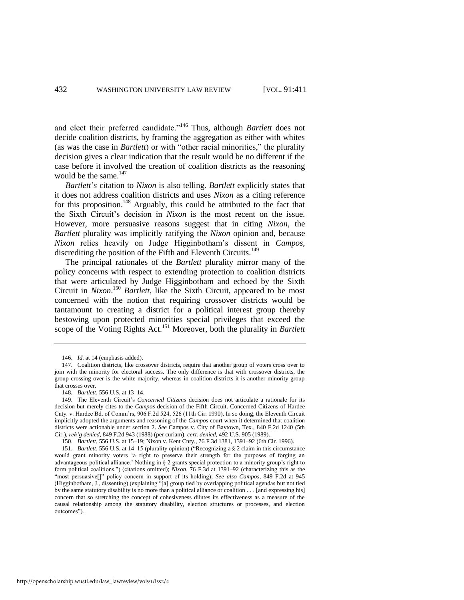and elect their preferred candidate."<sup>146</sup> Thus, although *Bartlett* does not decide coalition districts, by framing the aggregation as either with whites (as was the case in *Bartlett*) or with "other racial minorities," the plurality decision gives a clear indication that the result would be no different if the case before it involved the creation of coalition districts as the reasoning would be the same. $147$ 

*Bartlett*'*s* citation to *Nixon* is also telling. *Bartlett* explicitly states that it does not address coalition districts and uses *Nixon* as a citing reference for this proposition.<sup>148</sup> Arguably, this could be attributed to the fact that the Sixth Circuit's decision in *Nixon* is the most recent on the issue. However, more persuasive reasons suggest that in citing *Nixon*, the *Bartlett* plurality was implicitly ratifying the *Nixon* opinion and, because *Nixon* relies heavily on Judge Higginbotham's dissent in *Campos*, discrediting the position of the Fifth and Eleventh Circuits.<sup>149</sup>

The principal rationales of the *Bartlett* plurality mirror many of the policy concerns with respect to extending protection to coalition districts that were articulated by Judge Higginbotham and echoed by the Sixth Circuit in *Nixon*. <sup>150</sup> *Bartlett*, like the Sixth Circuit, appeared to be most concerned with the notion that requiring crossover districts would be tantamount to creating a district for a political interest group thereby bestowing upon protected minorities special privileges that exceed the scope of the Voting Rights Act.<sup>151</sup> Moreover, both the plurality in *Bartlett* 

<sup>146.</sup> *Id.* at 14 (emphasis added).

<sup>147.</sup> Coalition districts, like crossover districts, require that another group of voters cross over to join with the minority for electoral success. The only difference is that with crossover districts, the group crossing over is the white majority, whereas in coalition districts it is another minority group that crosses over.

<sup>148</sup>*. Bartlett*, 556 U.S. at 13–14.

<sup>149.</sup> The Eleventh Circuit's *Concerned Citizens* decision does not articulate a rationale for its decision but merely cites to the *Campos* decision of the Fifth Circuit. Concerned Citizens of Hardee Cnty. v. Hardee Bd. of Comm'rs, 906 F.2d 524, 526 (11th Cir. 1990). In so doing, the Eleventh Circuit implicitly adopted the arguments and reasoning of the *Campos* court when it determined that coalition districts were actionable under section 2. *See* Campos v. City of Baytown, Tex., 840 F.2d 1240 (5th Cir.), *reh'g denied*, 849 F.2d 943 (1988) (per curiam), *cert. denied*, 492 U.S. 905 (1989).

<sup>150.</sup> *Bartlett*, 556 U.S. at 15–19; Nixon v. Kent Cnty., 76 F.3d 1381, 1391–92 (6th Cir. 1996).

<sup>151.</sup> *Bartlett*, 556 U.S. at 14–15 (plurality opinion) ("Recognizing a § 2 claim in this circumstance would grant minority voters 'a right to preserve their strength for the purposes of forging an advantageous political alliance.' Nothing in § 2 grants special protection to a minority group's right to form political coalitions.") (citations omitted); *Nixon*, 76 F.3d at 1391–92 (characterizing this as the "most persuasive[]" policy concern in support of its holding); *See also Campos*, 849 F.2d at 945 (Higginbotham, J., dissenting) (explaining "[a] group tied by overlapping political agendas but not tied by the same statutory disability is no more than a political alliance or coalition . . . [and expressing his] concern that so stretching the concept of cohesiveness dilutes its effectiveness as a measure of the causal relationship among the statutory disability, election structures or processes, and election outcomes").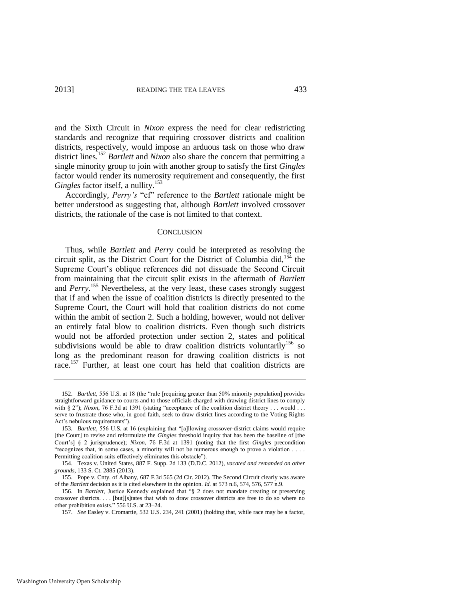and the Sixth Circuit in *Nixon* express the need for clear redistricting standards and recognize that requiring crossover districts and coalition districts, respectively, would impose an arduous task on those who draw district lines.<sup>152</sup> *Bartlett* and *Nixon* also share the concern that permitting a single minority group to join with another group to satisfy the first *Gingles* factor would render its numerosity requirement and consequently, the first *Gingles* factor itself, a nullity.<sup>153</sup>

Accordingly, *Perry's* "cf" reference to the *Bartlett* rationale might be better understood as suggesting that, although *Bartlett* involved crossover districts, the rationale of the case is not limited to that context.

#### **CONCLUSION**

Thus, while *Bartlett* and *Perry* could be interpreted as resolving the circuit split, as the District Court for the District of Columbia did,<sup>154</sup> the Supreme Court's oblique references did not dissuade the Second Circuit from maintaining that the circuit split exists in the aftermath of *Bartlett* and *Perry*. <sup>155</sup> Nevertheless, at the very least, these cases strongly suggest that if and when the issue of coalition districts is directly presented to the Supreme Court, the Court will hold that coalition districts do not come within the ambit of section 2. Such a holding, however, would not deliver an entirely fatal blow to coalition districts. Even though such districts would not be afforded protection under section 2, states and political subdivisions would be able to draw coalition districts voluntarily<sup>156</sup> so long as the predominant reason for drawing coalition districts is not race.<sup>157</sup> Further, at least one court has held that coalition districts are

<sup>152.</sup> *Bartlett*, 556 U.S. at 18 (the "rule [requiring greater than 50% minority population] provides straightforward guidance to courts and to those officials charged with drawing district lines to comply with § 2"); *Nixon*, 76 F.3d at 1391 (stating "acceptance of the coalition district theory . . . would . . . serve to frustrate those who, in good faith, seek to draw district lines according to the Voting Rights Act's nebulous requirements").

<sup>153</sup>*. Bartlett*, 556 U.S. at 16 (explaining that "[a]llowing crossover-district claims would require [the Court] to revise and reformulate the *Gingles* threshold inquiry that has been the baseline of [the Court's] § 2 jurisprudence); *Nixon*, 76 F.3d at 1391 (noting that the first *Gingles* precondition "recognizes that, in some cases, a minority will not be numerous enough to prove a violation . . . . Permitting coalition suits effectively eliminates this obstacle").

<sup>154.</sup> Texas v. United States, 887 F. Supp. 2d 133 (D.D.C. 2012), *vacated and remanded on other grounds*, 133 S. Ct. 2885 (2013).

<sup>155.</sup> Pope v. Cnty. of Albany*,* 687 F.3d 565 (2d Cir. 2012)*.* The Second Circuit clearly was aware of the *Bartlett* decision as it is cited elsewhere in the opinion. *Id.* at 573 n.6, 574, 576, 577 n.9.

<sup>156.</sup> In *Bartlett*, Justice Kennedy explained that "§ 2 does not mandate creating or preserving crossover districts. . . . [but][s]tates that wish to draw crossover districts are free to do so where no other prohibition exists." 556 U.S. at 23–24.

<sup>157.</sup> *See* Easley v. Cromartie, 532 U.S. 234, 241 (2001) (holding that, while race may be a factor,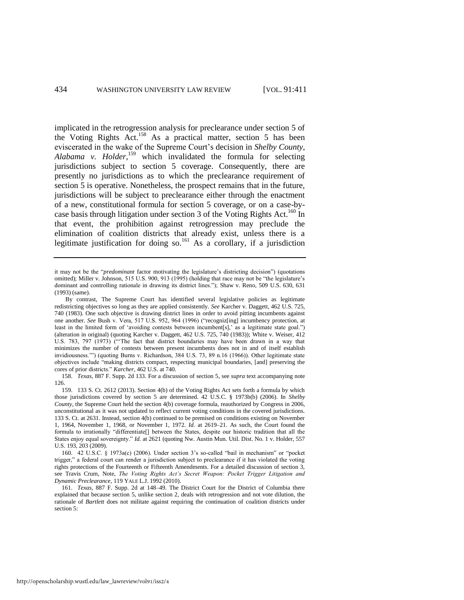<span id="page-24-0"></span>implicated in the retrogression analysis for preclearance under section 5 of the Voting Rights Act.<sup>158</sup> As a practical matter, section 5 has been eviscerated in the wake of the Supreme Court's decision in *Shelby County, Alabama v. Holder*, <sup>159</sup> which invalidated the formula for selecting jurisdictions subject to section 5 coverage. Consequently, there are presently no jurisdictions as to which the preclearance requirement of section 5 is operative. Nonetheless, the prospect remains that in the future, jurisdictions will be subject to preclearance either through the enactment of a new, constitutional formula for section 5 coverage, or on a case-bycase basis through litigation under section 3 of the Voting Rights Act.<sup>160</sup> In that event, the prohibition against retrogression may preclude the elimination of coalition districts that already exist, unless there is a legitimate justification for doing so.<sup>161</sup> As a corollary, if a jurisdiction

158. *Texas*, 887 F. Supp. 2d 133. For a discussion of section 5, see *supra* text accompanying note [126.](#page-18-0)

160. 42 U.S.C. § 1973a(c) (2006). Under section 3's so-called "bail in mechanism" or "pocket trigger," a federal court can render a jurisdiction subject to preclearance if it has violated the voting rights protections of the Fourteenth or Fifteenth Amendments. For a detailed discussion of section 3, see Travis Crum, Note, *The Voting Rights Act's Secret Weapon: Pocket Trigger Litigation and Dynamic Preclearance*, 119 YALE L.J. 1992 (2010).

161. *Texas*, 887 F. Supp. 2d at 148–49. The District Court for the District of Columbia there explained that because section 5, unlike section 2, deals with retrogression and not vote dilution, the rationale of *Bartlett* does not militate against requiring the continuation of coalition districts under section 5:

it may not be the "*predominant* factor motivating the legislature's districting decision") (quotations omitted); Miller v. Johnson, 515 U.S. 900, 913 (1995) (holding that race may not be "the legislature's dominant and controlling rationale in drawing its district lines."); Shaw v. Reno, 509 U.S. 630, 631 (1993) (same).

By contrast, The Supreme Court has identified several legislative policies as legitimate redistricting objectives so long as they are applied consistently. *See* Karcher v. Daggett, 462 U.S. 725, 740 (1983). One such objective is drawing district lines in order to avoid pitting incumbents against one another. *See* Bush v. Vera, 517 U.S. 952, 964 (1996) ("recogniz[ing] incumbency protection, at least in the limited form of 'avoiding contests between incumbent[s],' as a legitimate state goal.") (alteration in original) (quoting Karcher v. Daggett, 462 U.S. 725, 740 (1983)); White v. Weiser, 412 U.S. 783, 797 (1973) ("'The fact that district boundaries may have been drawn in a way that minimizes the number of contests between present incumbents does not in and of itself establish invidiousness.'") (quoting Burns v. Richardson, 384 U.S. 73, 89 n.16 (1966)). Other legitimate state objectives include "making districts compact, respecting municipal boundaries, [and] preserving the cores of prior districts." *Karcher*, 462 U.S. at 740.

<sup>159. 133</sup> S. Ct. 2612 (2013). Section 4(b) of the Voting Rights Act sets forth a formula by which those jurisdictions covered by section 5 are determined. 42 U.S.C. § 1973b(b) (2006). In *Shelby County*, the Supreme Court held the section 4(b) coverage formula, reauthorized by Congress in 2006, unconstitutional as it was not updated to reflect current voting conditions in the covered jurisdictions. 133 S. Ct. at 2631. Instead, section 4(b) continued to be premised on conditions existing on November 1, 1964, November 1, 1968, or November 1, 1972. *Id.* at 2619–21. As such, the Court found the formula to irrationally "differentiate[] between the States, despite our historic tradition that all the States enjoy equal sovereignty." *Id.* at 2621 (quoting Nw. Austin Mun. Util. Dist. No. 1 v. Holder, 557 U.S. 193, 203 (2009).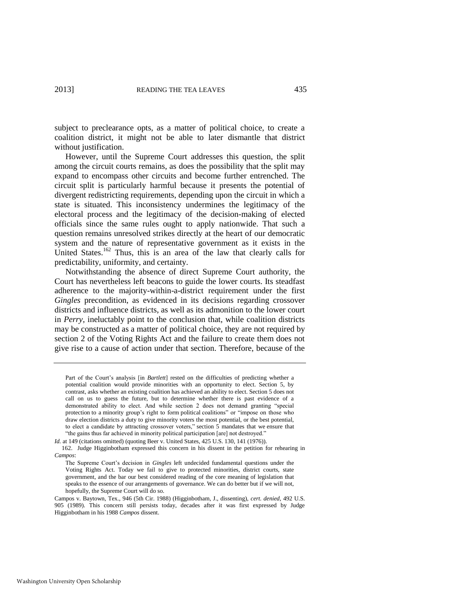subject to preclearance opts, as a matter of political choice, to create a coalition district, it might not be able to later dismantle that district without justification.

However, until the Supreme Court addresses this question, the split among the circuit courts remains, as does the possibility that the split may expand to encompass other circuits and become further entrenched. The circuit split is particularly harmful because it presents the potential of divergent redistricting requirements, depending upon the circuit in which a state is situated. This inconsistency undermines the legitimacy of the electoral process and the legitimacy of the decision-making of elected officials since the same rules ought to apply nationwide. That such a question remains unresolved strikes directly at the heart of our democratic system and the nature of representative government as it exists in the United States.<sup>162</sup> Thus, this is an area of the law that clearly calls for predictability, uniformity, and certainty.

Notwithstanding the absence of direct Supreme Court authority, the Court has nevertheless left beacons to guide the lower courts. Its steadfast adherence to the majority-within-a-district requirement under the first *Gingles* precondition, as evidenced in its decisions regarding crossover districts and influence districts, as well as its admonition to the lower court in *Perry*, ineluctably point to the conclusion that, while coalition districts may be constructed as a matter of political choice, they are not required by section 2 of the Voting Rights Act and the failure to create them does not give rise to a cause of action under that section. Therefore, because of the

Part of the Court's analysis [in *Bartlett*] rested on the difficulties of predicting whether a potential coalition would provide minorities with an opportunity to elect. Section 5, by contrast, asks whether an existing coalition has achieved an ability to elect. Section 5 does not call on us to guess the future, but to determine whether there is past evidence of a demonstrated ability to elect. And while section 2 does not demand granting "special protection to a minority group's right to form political coalitions" or "impose on those who draw election districts a duty to give minority voters the most potential, or the best potential, to elect a candidate by attracting crossover voters," section 5 mandates that we ensure that "the gains thus far achieved in minority political participation [are] not destroyed."

*Id.* at 149 (citations omitted) (quoting Beer v. United States, 425 U.S. 130, 141 (1976)).

<sup>162.</sup> Judge Higginbotham expressed this concern in his dissent in the petition for rehearing in *Campos*:

The Supreme Court's decision in *Gingles* left undecided fundamental questions under the Voting Rights Act. Today we fail to give to protected minorities, district courts, state government, and the bar our best considered reading of the core meaning of legislation that speaks to the essence of our arrangements of governance. We can do better but if we will not, hopefully, the Supreme Court will do so.

Campos v. Baytown, Tex., 946 (5th Cir. 1988) (Higginbotham, J., dissenting), *cert. denied*, 492 U.S. 905 (1989). This concern still persists today, decades after it was first expressed by Judge Higginbotham in his 1988 *Campos* dissent.